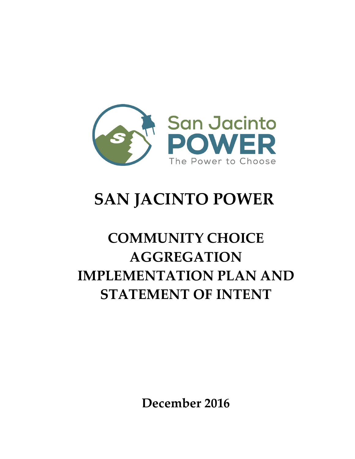

# **SAN JACINTO POWER**

# **COMMUNITY CHOICE AGGREGATION IMPLEMENTATION PLAN AND STATEMENT OF INTENT**

**December 2016**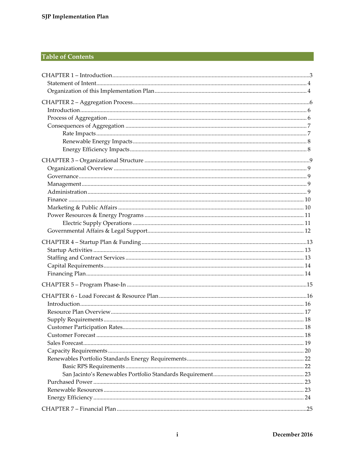## **Table of Contents**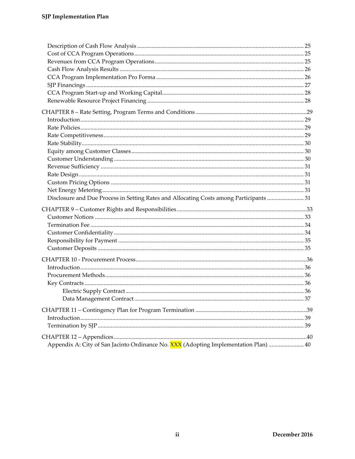| Disclosure and Due Process in Setting Rates and Allocating Costs among Participants 31 |  |
|----------------------------------------------------------------------------------------|--|
|                                                                                        |  |
|                                                                                        |  |
|                                                                                        |  |
|                                                                                        |  |
|                                                                                        |  |
|                                                                                        |  |
|                                                                                        |  |
|                                                                                        |  |
|                                                                                        |  |
|                                                                                        |  |
|                                                                                        |  |
|                                                                                        |  |
|                                                                                        |  |
|                                                                                        |  |
|                                                                                        |  |
|                                                                                        |  |
|                                                                                        |  |
| Appendix A: City of San Jacinto Ordinance No. XXX (Adopting Implementation Plan)  40   |  |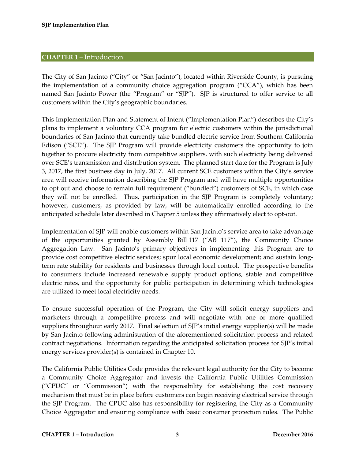## <span id="page-3-0"></span>**CHAPTER 1 –** Introduction

The City of San Jacinto ("City" or "San Jacinto"), located within Riverside County, is pursuing the implementation of a community choice aggregation program ("CCA"), which has been named San Jacinto Power (the "Program" or "SJP"). SJP is structured to offer service to all customers within the City's geographic boundaries.

This Implementation Plan and Statement of Intent ("Implementation Plan") describes the City's plans to implement a voluntary CCA program for electric customers within the jurisdictional boundaries of San Jacinto that currently take bundled electric service from Southern California Edison ("SCE"). The SJP Program will provide electricity customers the opportunity to join together to procure electricity from competitive suppliers, with such electricity being delivered over SCE's transmission and distribution system. The planned start date for the Program is July 3, 2017, the first business day in July, 2017. All current SCE customers within the City's service area will receive information describing the SJP Program and will have multiple opportunities to opt out and choose to remain full requirement ("bundled") customers of SCE, in which case they will not be enrolled. Thus, participation in the SJP Program is completely voluntary; however, customers, as provided by law, will be automatically enrolled according to the anticipated schedule later described in Chapter 5 unless they affirmatively elect to opt-out.

Implementation of SJP will enable customers within San Jacinto's service area to take advantage of the opportunities granted by Assembly Bill 117 ("AB 117"), the Community Choice Aggregation Law. San Jacinto's primary objectives in implementing this Program are to provide cost competitive electric services; spur local economic development; and sustain longterm rate stability for residents and businesses through local control. The prospective benefits to consumers include increased renewable supply product options, stable and competitive electric rates, and the opportunity for public participation in determining which technologies are utilized to meet local electricity needs.

To ensure successful operation of the Program, the City will solicit energy suppliers and marketers through a competitive process and will negotiate with one or more qualified suppliers throughout early 2017. Final selection of SJP's initial energy supplier(s) will be made by San Jacinto following administration of the aforementioned solicitation process and related contract negotiations. Information regarding the anticipated solicitation process for SJP's initial energy services provider(s) is contained in Chapter 10.

The California Public Utilities Code provides the relevant legal authority for the City to become a Community Choice Aggregator and invests the California Public Utilities Commission ("CPUC" or "Commission") with the responsibility for establishing the cost recovery mechanism that must be in place before customers can begin receiving electrical service through the SJP Program. The CPUC also has responsibility for registering the City as a Community Choice Aggregator and ensuring compliance with basic consumer protection rules. The Public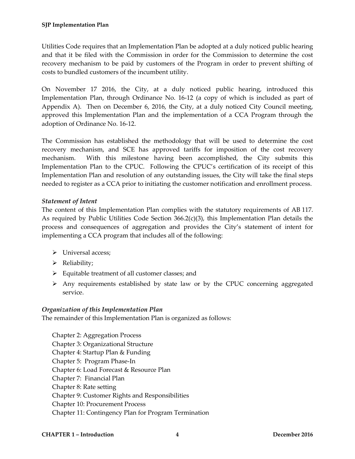Utilities Code requires that an Implementation Plan be adopted at a duly noticed public hearing and that it be filed with the Commission in order for the Commission to determine the cost recovery mechanism to be paid by customers of the Program in order to prevent shifting of costs to bundled customers of the incumbent utility.

On November 17 2016, the City, at a duly noticed public hearing, introduced this Implementation Plan, through Ordinance No. 16-12 (a copy of which is included as part of Appendix A). Then on December 6, 2016, the City, at a duly noticed City Council meeting, approved this Implementation Plan and the implementation of a CCA Program through the adoption of Ordinance No. 16-12.

The Commission has established the methodology that will be used to determine the cost recovery mechanism, and SCE has approved tariffs for imposition of the cost recovery mechanism. With this milestone having been accomplished, the City submits this Implementation Plan to the CPUC. Following the CPUC's certification of its receipt of this Implementation Plan and resolution of any outstanding issues, the City will take the final steps needed to register as a CCA prior to initiating the customer notification and enrollment process.

## <span id="page-4-0"></span>*Statement of Intent*

The content of this Implementation Plan complies with the statutory requirements of AB 117. As required by Public Utilities Code Section  $366.2(c)(3)$ , this Implementation Plan details the process and consequences of aggregation and provides the City's statement of intent for implementing a CCA program that includes all of the following:

- > Universal access;
- > Reliability;
- $\triangleright$  Equitable treatment of all customer classes; and
- $\triangleright$  Any requirements established by state law or by the CPUC concerning aggregated service.

## <span id="page-4-1"></span>*Organization of this Implementation Plan*

The remainder of this Implementation Plan is organized as follows:

Chapter 2: Aggregation Process Chapter 3: Organizational Structure Chapter 4: Startup Plan & Funding Chapter 5: Program Phase-In Chapter 6: Load Forecast & Resource Plan Chapter 7: Financial Plan Chapter 8: Rate setting Chapter 9: Customer Rights and Responsibilities Chapter 10: Procurement Process Chapter 11: Contingency Plan for Program Termination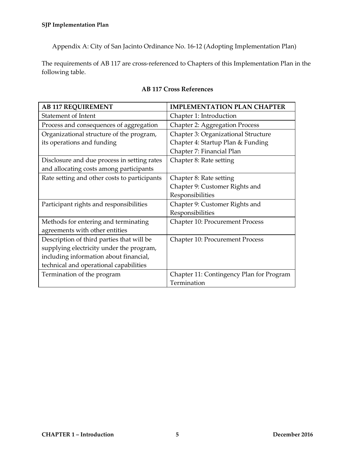Appendix A: City of San Jacinto Ordinance No. 16-12 (Adopting Implementation Plan)

The requirements of AB 117 are cross-referenced to Chapters of this Implementation Plan in the following table.

| <b>AB 117 REQUIREMENT</b>                    | <b>IMPLEMENTATION PLAN CHAPTER</b>       |
|----------------------------------------------|------------------------------------------|
| <b>Statement of Intent</b>                   | Chapter 1: Introduction                  |
| Process and consequences of aggregation      | <b>Chapter 2: Aggregation Process</b>    |
| Organizational structure of the program,     | Chapter 3: Organizational Structure      |
| its operations and funding                   | Chapter 4: Startup Plan & Funding        |
|                                              | Chapter 7: Financial Plan                |
| Disclosure and due process in setting rates  | Chapter 8: Rate setting                  |
| and allocating costs among participants      |                                          |
| Rate setting and other costs to participants | Chapter 8: Rate setting                  |
|                                              | Chapter 9: Customer Rights and           |
|                                              | Responsibilities                         |
| Participant rights and responsibilities      | Chapter 9: Customer Rights and           |
|                                              | Responsibilities                         |
| Methods for entering and terminating         | <b>Chapter 10: Procurement Process</b>   |
| agreements with other entities               |                                          |
| Description of third parties that will be    | <b>Chapter 10: Procurement Process</b>   |
| supplying electricity under the program,     |                                          |
| including information about financial,       |                                          |
| technical and operational capabilities       |                                          |
| Termination of the program                   | Chapter 11: Contingency Plan for Program |
|                                              | Termination                              |

## **AB 117 Cross References**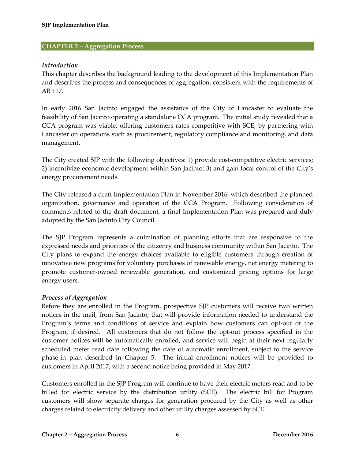#### <span id="page-6-0"></span>**CHAPTER 2 – Aggregation Process**

#### <span id="page-6-1"></span>*Introduction*

This chapter describes the background leading to the development of this Implementation Plan and describes the process and consequences of aggregation, consistent with the requirements of AB 117.

In early 2016 San Jacinto engaged the assistance of the City of Lancaster to evaluate the feasibility of San Jacinto operating a standalone CCA program. The initial study revealed that a CCA program was viable, offering customers rates competitive with SCE, by partnering with Lancaster on operations such as procurement, regulatory compliance and monitoring, and data management.

The City created SJP with the following objectives: 1) provide cost-competitive electric services; 2) incentivize economic development within San Jacinto; 3) and gain local control of the City's energy procurement needs.

The City released a draft Implementation Plan in November 2016, which described the planned organization, governance and operation of the CCA Program. Following consideration of comments related to the draft document, a final Implementation Plan was prepared and duly adopted by the San Jacinto City Council.

The SJP Program represents a culmination of planning efforts that are responsive to the expressed needs and priorities of the citizenry and business community within San Jacinto. The City plans to expand the energy choices available to eligible customers through creation of innovative new programs for voluntary purchases of renewable energy, net energy metering to promote customer-owned renewable generation, and customized pricing options for large energy users.

#### <span id="page-6-2"></span>*Process of Aggregation*

Before they are enrolled in the Program, prospective SJP customers will receive two written notices in the mail, from San Jacinto, that will provide information needed to understand the Program's terms and conditions of service and explain how customers can opt-out of the Program, if desired. All customers that do not follow the opt-out process specified in the customer notices will be automatically enrolled, and service will begin at their next regularly scheduled meter read date following the date of automatic enrollment, subject to the service phase-in plan described in Chapter 5. The initial enrollment notices will be provided to customers in April 2017, with a second notice being provided in May 2017.

Customers enrolled in the SJP Program will continue to have their electric meters read and to be billed for electric service by the distribution utility (SCE). The electric bill for Program customers will show separate charges for generation procured by the City as well as other charges related to electricity delivery and other utility charges assessed by SCE.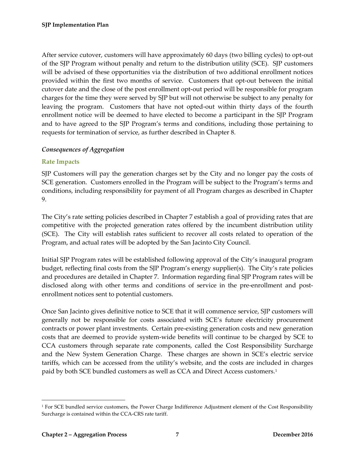After service cutover, customers will have approximately 60 days (two billing cycles) to opt-out of the SJP Program without penalty and return to the distribution utility (SCE). SJP customers will be advised of these opportunities via the distribution of two additional enrollment notices provided within the first two months of service. Customers that opt-out between the initial cutover date and the close of the post enrollment opt-out period will be responsible for program charges for the time they were served by SJP but will not otherwise be subject to any penalty for leaving the program. Customers that have not opted-out within thirty days of the fourth enrollment notice will be deemed to have elected to become a participant in the SJP Program and to have agreed to the SJP Program's terms and conditions, including those pertaining to requests for termination of service, as further described in Chapter 8.

## <span id="page-7-0"></span>*Consequences of Aggregation*

## <span id="page-7-1"></span>**Rate Impacts**

SJP Customers will pay the generation charges set by the City and no longer pay the costs of SCE generation. Customers enrolled in the Program will be subject to the Program's terms and conditions, including responsibility for payment of all Program charges as described in Chapter 9.

The City's rate setting policies described in Chapter 7 establish a goal of providing rates that are competitive with the projected generation rates offered by the incumbent distribution utility (SCE). The City will establish rates sufficient to recover all costs related to operation of the Program, and actual rates will be adopted by the San Jacinto City Council.

Initial SJP Program rates will be established following approval of the City's inaugural program budget, reflecting final costs from the SJP Program's energy supplier(s). The City's rate policies and procedures are detailed in Chapter 7. Information regarding final SJP Program rates will be disclosed along with other terms and conditions of service in the pre-enrollment and postenrollment notices sent to potential customers.

Once San Jacinto gives definitive notice to SCE that it will commence service, SJP customers will generally not be responsible for costs associated with SCE's future electricity procurement contracts or power plant investments. Certain pre-existing generation costs and new generation costs that are deemed to provide system-wide benefits will continue to be charged by SCE to CCA customers through separate rate components, called the Cost Responsibility Surcharge and the New System Generation Charge. These charges are shown in SCE's electric service tariffs, which can be accessed from the utility's website, and the costs are included in charges paid by both SCE bundled customers as well as CCA and Direct Access customers. [1](#page-7-2)

<span id="page-7-2"></span><sup>&</sup>lt;sup>1</sup> For SCE bundled service customers, the Power Charge Indifference Adjustment element of the Cost Responsibility Surcharge is contained within the CCA-CRS rate tariff.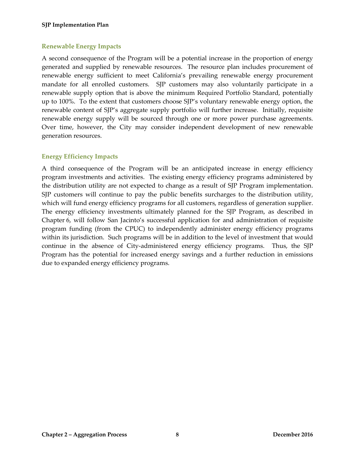#### **SJP Implementation Plan**

#### <span id="page-8-0"></span>**Renewable Energy Impacts**

A second consequence of the Program will be a potential increase in the proportion of energy generated and supplied by renewable resources. The resource plan includes procurement of renewable energy sufficient to meet California's prevailing renewable energy procurement mandate for all enrolled customers. SJP customers may also voluntarily participate in a renewable supply option that is above the minimum Required Portfolio Standard, potentially up to 100%. To the extent that customers choose SJP's voluntary renewable energy option, the renewable content of SJP's aggregate supply portfolio will further increase. Initially, requisite renewable energy supply will be sourced through one or more power purchase agreements. Over time, however, the City may consider independent development of new renewable generation resources.

## <span id="page-8-1"></span>**Energy Efficiency Impacts**

A third consequence of the Program will be an anticipated increase in energy efficiency program investments and activities. The existing energy efficiency programs administered by the distribution utility are not expected to change as a result of SJP Program implementation. SJP customers will continue to pay the public benefits surcharges to the distribution utility, which will fund energy efficiency programs for all customers, regardless of generation supplier. The energy efficiency investments ultimately planned for the SJP Program, as described in Chapter 6, will follow San Jacinto's successful application for and administration of requisite program funding (from the CPUC) to independently administer energy efficiency programs within its jurisdiction. Such programs will be in addition to the level of investment that would continue in the absence of City-administered energy efficiency programs. Thus, the SJP Program has the potential for increased energy savings and a further reduction in emissions due to expanded energy efficiency programs.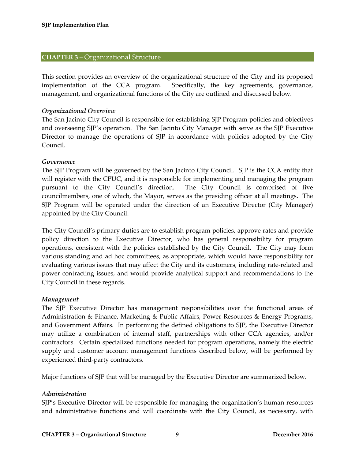#### <span id="page-9-0"></span>**CHAPTER 3 –** Organizational Structure

This section provides an overview of the organizational structure of the City and its proposed implementation of the CCA program. Specifically, the key agreements, governance, management, and organizational functions of the City are outlined and discussed below.

#### <span id="page-9-1"></span>*Organizational Overview*

The San Jacinto City Council is responsible for establishing SJP Program policies and objectives and overseeing SJP's operation. The San Jacinto City Manager with serve as the SJP Executive Director to manage the operations of SJP in accordance with policies adopted by the City Council.

#### <span id="page-9-2"></span>*Governance*

The SJP Program will be governed by the San Jacinto City Council. SJP is the CCA entity that will register with the CPUC, and it is responsible for implementing and managing the program pursuant to the City Council's direction. The City Council is comprised of five councilmembers, one of which, the Mayor, serves as the presiding officer at all meetings. The SJP Program will be operated under the direction of an Executive Director (City Manager) appointed by the City Council.

The City Council's primary duties are to establish program policies, approve rates and provide policy direction to the Executive Director, who has general responsibility for program operations, consistent with the policies established by the City Council. The City may form various standing and ad hoc committees, as appropriate, which would have responsibility for evaluating various issues that may affect the City and its customers, including rate-related and power contracting issues, and would provide analytical support and recommendations to the City Council in these regards.

#### <span id="page-9-3"></span>*Management*

The SJP Executive Director has management responsibilities over the functional areas of Administration & Finance, Marketing & Public Affairs, Power Resources & Energy Programs, and Government Affairs. In performing the defined obligations to SJP, the Executive Director may utilize a combination of internal staff, partnerships with other CCA agencies, and/or contractors. Certain specialized functions needed for program operations, namely the electric supply and customer account management functions described below, will be performed by experienced third-party contractors.

Major functions of SJP that will be managed by the Executive Director are summarized below.

#### <span id="page-9-4"></span>*Administration*

SJP's Executive Director will be responsible for managing the organization's human resources and administrative functions and will coordinate with the City Council, as necessary, with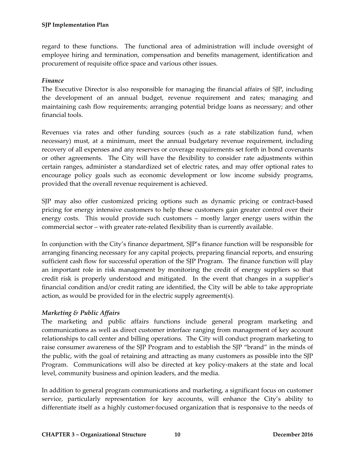regard to these functions. The functional area of administration will include oversight of employee hiring and termination, compensation and benefits management, identification and procurement of requisite office space and various other issues.

## <span id="page-10-0"></span>*Finance*

The Executive Director is also responsible for managing the financial affairs of SJP, including the development of an annual budget, revenue requirement and rates; managing and maintaining cash flow requirements; arranging potential bridge loans as necessary; and other financial tools.

Revenues via rates and other funding sources (such as a rate stabilization fund, when necessary) must, at a minimum, meet the annual budgetary revenue requirement, including recovery of all expenses and any reserves or coverage requirements set forth in bond covenants or other agreements. The City will have the flexibility to consider rate adjustments within certain ranges, administer a standardized set of electric rates, and may offer optional rates to encourage policy goals such as economic development or low income subsidy programs, provided that the overall revenue requirement is achieved.

SJP may also offer customized pricing options such as dynamic pricing or contract-based pricing for energy intensive customers to help these customers gain greater control over their energy costs. This would provide such customers – mostly larger energy users within the commercial sector – with greater rate-related flexibility than is currently available.

In conjunction with the City's finance department, SJP's finance function will be responsible for arranging financing necessary for any capital projects, preparing financial reports, and ensuring sufficient cash flow for successful operation of the SJP Program. The finance function will play an important role in risk management by monitoring the credit of energy suppliers so that credit risk is properly understood and mitigated. In the event that changes in a supplier's financial condition and/or credit rating are identified, the City will be able to take appropriate action, as would be provided for in the electric supply agreement(s).

## <span id="page-10-1"></span>*Marketing & Public Affairs*

The marketing and public affairs functions include general program marketing and communications as well as direct customer interface ranging from management of key account relationships to call center and billing operations. The City will conduct program marketing to raise consumer awareness of the SJP Program and to establish the SJP "brand" in the minds of the public, with the goal of retaining and attracting as many customers as possible into the SJP Program. Communications will also be directed at key policy-makers at the state and local level, community business and opinion leaders, and the media.

In addition to general program communications and marketing, a significant focus on customer service, particularly representation for key accounts, will enhance the City's ability to differentiate itself as a highly customer-focused organization that is responsive to the needs of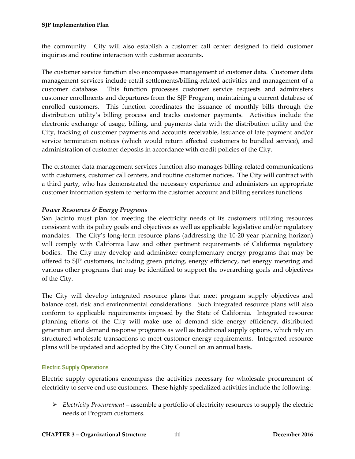the community. City will also establish a customer call center designed to field customer inquiries and routine interaction with customer accounts.

The customer service function also encompasses management of customer data. Customer data management services include retail settlements/billing-related activities and management of a customer database. This function processes customer service requests and administers customer enrollments and departures from the SJP Program, maintaining a current database of enrolled customers. This function coordinates the issuance of monthly bills through the distribution utility's billing process and tracks customer payments. Activities include the electronic exchange of usage, billing, and payments data with the distribution utility and the City, tracking of customer payments and accounts receivable, issuance of late payment and/or service termination notices (which would return affected customers to bundled service), and administration of customer deposits in accordance with credit policies of the City.

The customer data management services function also manages billing-related communications with customers, customer call centers, and routine customer notices. The City will contract with a third party, who has demonstrated the necessary experience and administers an appropriate customer information system to perform the customer account and billing services functions.

## <span id="page-11-0"></span>*Power Resources & Energy Programs*

San Jacinto must plan for meeting the electricity needs of its customers utilizing resources consistent with its policy goals and objectives as well as applicable legislative and/or regulatory mandates. The City's long-term resource plans (addressing the 10-20 year planning horizon) will comply with California Law and other pertinent requirements of California regulatory bodies. The City may develop and administer complementary energy programs that may be offered to SJP customers, including green pricing, energy efficiency, net energy metering and various other programs that may be identified to support the overarching goals and objectives of the City.

The City will develop integrated resource plans that meet program supply objectives and balance cost, risk and environmental considerations. Such integrated resource plans will also conform to applicable requirements imposed by the State of California. Integrated resource planning efforts of the City will make use of demand side energy efficiency, distributed generation and demand response programs as well as traditional supply options, which rely on structured wholesale transactions to meet customer energy requirements. Integrated resource plans will be updated and adopted by the City Council on an annual basis.

## <span id="page-11-1"></span>**Electric Supply Operations**

Electric supply operations encompass the activities necessary for wholesale procurement of electricity to serve end use customers. These highly specialized activities include the following:

 *Electricity Procurement* – assemble a portfolio of electricity resources to supply the electric needs of Program customers.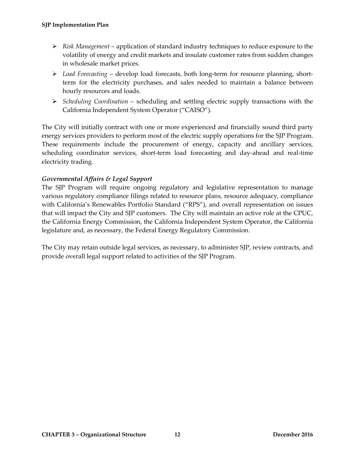- *Risk Management* application of standard industry techniques to reduce exposure to the volatility of energy and credit markets and insulate customer rates from sudden changes in wholesale market prices.
- *Load Forecasting* develop load forecasts, both long-term for resource planning, shortterm for the electricity purchases, and sales needed to maintain a balance between hourly resources and loads.
- *Scheduling Coordination* scheduling and settling electric supply transactions with the California Independent System Operator ("CAISO").

The City will initially contract with one or more experienced and financially sound third party energy services providers to perform most of the electric supply operations for the SJP Program. These requirements include the procurement of energy, capacity and ancillary services, scheduling coordinator services, short-term load forecasting and day-ahead and real-time electricity trading.

## <span id="page-12-0"></span>*Governmental Affairs & Legal Support*

The SJP Program will require ongoing regulatory and legislative representation to manage various regulatory compliance filings related to resource plans, resource adequacy, compliance with California's Renewables Portfolio Standard ("RPS"), and overall representation on issues that will impact the City and SJP customers. The City will maintain an active role at the CPUC, the California Energy Commission, the California Independent System Operator, the California legislature and, as necessary, the Federal Energy Regulatory Commission.

The City may retain outside legal services, as necessary, to administer SJP, review contracts, and provide overall legal support related to activities of the SJP Program.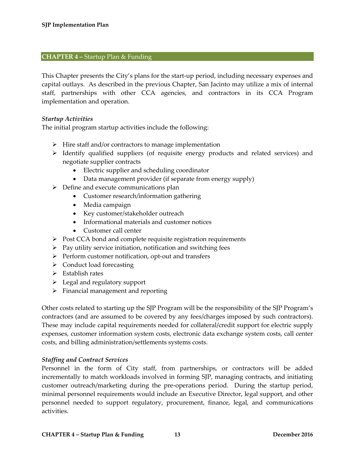#### <span id="page-13-0"></span>**CHAPTER 4 –** Startup Plan & Funding

This Chapter presents the City's plans for the start-up period, including necessary expenses and capital outlays. As described in the previous Chapter, San Jacinto may utilize a mix of internal staff, partnerships with other CCA agencies, and contractors in its CCA Program implementation and operation.

#### <span id="page-13-1"></span>*Startup Activities*

The initial program startup activities include the following:

- $\triangleright$  Hire staff and/or contractors to manage implementation
- $\triangleright$  Identify qualified suppliers (of requisite energy products and related services) and negotiate supplier contracts
	- Electric supplier and scheduling coordinator
	- Data management provider (if separate from energy supply)
- $\triangleright$  Define and execute communications plan
	- Customer research/information gathering
	- Media campaign
	- Key customer/stakeholder outreach
	- Informational materials and customer notices
	- Customer call center
- $\triangleright$  Post CCA bond and complete requisite registration requirements
- $\triangleright$  Pay utility service initiation, notification and switching fees
- $\triangleright$  Perform customer notification, opt-out and transfers
- $\triangleright$  Conduct load forecasting
- $\triangleright$  Establish rates
- $\triangleright$  Legal and regulatory support
- $\triangleright$  Financial management and reporting

Other costs related to starting up the SJP Program will be the responsibility of the SJP Program's contractors (and are assumed to be covered by any fees/charges imposed by such contractors). These may include capital requirements needed for collateral/credit support for electric supply expenses, customer information system costs, electronic data exchange system costs, call center costs, and billing administration/settlements systems costs.

#### <span id="page-13-2"></span>*Staffing and Contract Services*

Personnel in the form of City staff, from partnerships, or contractors will be added incrementally to match workloads involved in forming SJP, managing contracts, and initiating customer outreach/marketing during the pre-operations period. During the startup period, minimal personnel requirements would include an Executive Director, legal support, and other personnel needed to support regulatory, procurement, finance, legal, and communications activities.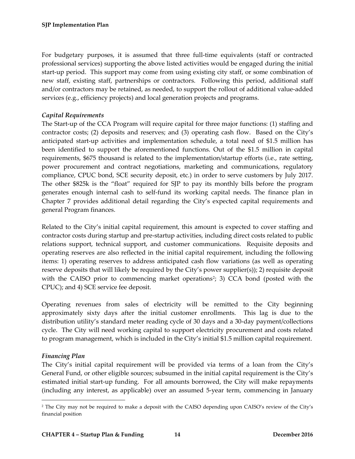For budgetary purposes, it is assumed that three full-time equivalents (staff or contracted professional services) supporting the above listed activities would be engaged during the initial start-up period. This support may come from using existing city staff, or some combination of new staff, existing staff, partnerships or contractors. Following this period, additional staff and/or contractors may be retained, as needed, to support the rollout of additional value-added services (e.g., efficiency projects) and local generation projects and programs.

## <span id="page-14-0"></span>*Capital Requirements*

The Start-up of the CCA Program will require capital for three major functions: (1) staffing and contractor costs; (2) deposits and reserves; and (3) operating cash flow. Based on the City's anticipated start-up activities and implementation schedule, a total need of \$1.5 million has been identified to support the aforementioned functions. Out of the \$1.5 million in capital requirements, \$675 thousand is related to the implementation/startup efforts (i.e., rate setting, power procurement and contract negotiations, marketing and communications, regulatory compliance, CPUC bond, SCE security deposit, etc.) in order to serve customers by July 2017. The other \$825k is the "float" required for SJP to pay its monthly bills before the program generates enough internal cash to self-fund its working capital needs. The finance plan in Chapter 7 provides additional detail regarding the City's expected capital requirements and general Program finances.

Related to the City's initial capital requirement, this amount is expected to cover staffing and contractor costs during startup and pre-startup activities, including direct costs related to public relations support, technical support, and customer communications. Requisite deposits and operating reserves are also reflected in the initial capital requirement, including the following items: 1) operating reserves to address anticipated cash flow variations (as well as operating reserve deposits that will likely be required by the City's power supplier(s)); 2) requisite deposit with the CAISO prior to commencing market operations<sup>2</sup>; 3) CCA bond (posted with the CPUC); and 4) SCE service fee deposit.

Operating revenues from sales of electricity will be remitted to the City beginning approximately sixty days after the initial customer enrollments. This lag is due to the distribution utility's standard meter reading cycle of 30 days and a 30-day payment/collections cycle. The City will need working capital to support electricity procurement and costs related to program management, which is included in the City's initial \$1.5 million capital requirement.

## <span id="page-14-1"></span>*Financing Plan*

The City's initial capital requirement will be provided via terms of a loan from the City's General Fund, or other eligible sources; subsumed in the initial capital requirement is the City's estimated initial start-up funding. For all amounts borrowed, the City will make repayments (including any interest, as applicable) over an assumed 5-year term, commencing in January

<span id="page-14-2"></span> <sup>2</sup> The City may not be required to make a deposit with the CAISO depending upon CAISO's review of the City's financial position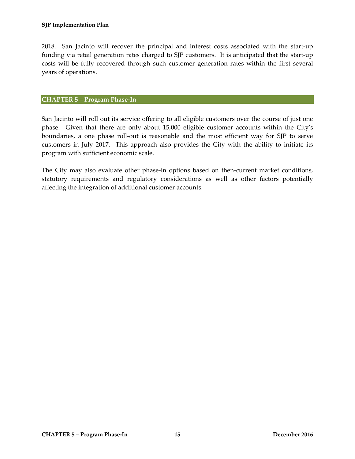2018. San Jacinto will recover the principal and interest costs associated with the start-up funding via retail generation rates charged to SJP customers. It is anticipated that the start-up costs will be fully recovered through such customer generation rates within the first several years of operations.

#### <span id="page-15-0"></span>**CHAPTER 5 – Program Phase-In**

San Jacinto will roll out its service offering to all eligible customers over the course of just one phase. Given that there are only about 15,000 eligible customer accounts within the City's boundaries, a one phase roll-out is reasonable and the most efficient way for SJP to serve customers in July 2017. This approach also provides the City with the ability to initiate its program with sufficient economic scale.

The City may also evaluate other phase-in options based on then-current market conditions, statutory requirements and regulatory considerations as well as other factors potentially affecting the integration of additional customer accounts.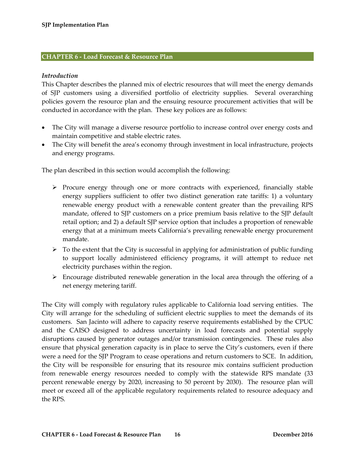#### <span id="page-16-0"></span>**CHAPTER 6 - Load Forecast & Resource Plan**

#### <span id="page-16-1"></span>*Introduction*

This Chapter describes the planned mix of electric resources that will meet the energy demands of SJP customers using a diversified portfolio of electricity supplies. Several overarching policies govern the resource plan and the ensuing resource procurement activities that will be conducted in accordance with the plan. These key polices are as follows:

- The City will manage a diverse resource portfolio to increase control over energy costs and maintain competitive and stable electric rates.
- The City will benefit the area's economy through investment in local infrastructure, projects and energy programs.

The plan described in this section would accomplish the following:

- $\triangleright$  Procure energy through one or more contracts with experienced, financially stable energy suppliers sufficient to offer two distinct generation rate tariffs: 1) a voluntary renewable energy product with a renewable content greater than the prevailing RPS mandate, offered to SJP customers on a price premium basis relative to the SJP default retail option; and 2) a default SJP service option that includes a proportion of renewable energy that at a minimum meets California's prevailing renewable energy procurement mandate.
- $\triangleright$  To the extent that the City is successful in applying for administration of public funding to support locally administered efficiency programs, it will attempt to reduce net electricity purchases within the region.
- $\triangleright$  Encourage distributed renewable generation in the local area through the offering of a net energy metering tariff.

The City will comply with regulatory rules applicable to California load serving entities. The City will arrange for the scheduling of sufficient electric supplies to meet the demands of its customers. San Jacinto will adhere to capacity reserve requirements established by the CPUC and the CAISO designed to address uncertainty in load forecasts and potential supply disruptions caused by generator outages and/or transmission contingencies. These rules also ensure that physical generation capacity is in place to serve the City's customers, even if there were a need for the SJP Program to cease operations and return customers to SCE. In addition, the City will be responsible for ensuring that its resource mix contains sufficient production from renewable energy resources needed to comply with the statewide RPS mandate (33 percent renewable energy by 2020, increasing to 50 percent by 2030). The resource plan will meet or exceed all of the applicable regulatory requirements related to resource adequacy and the RPS.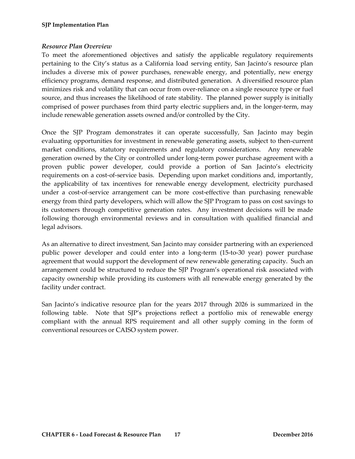## <span id="page-17-0"></span>*Resource Plan Overview*

To meet the aforementioned objectives and satisfy the applicable regulatory requirements pertaining to the City's status as a California load serving entity, San Jacinto's resource plan includes a diverse mix of power purchases, renewable energy, and potentially, new energy efficiency programs, demand response, and distributed generation. A diversified resource plan minimizes risk and volatility that can occur from over-reliance on a single resource type or fuel source, and thus increases the likelihood of rate stability. The planned power supply is initially comprised of power purchases from third party electric suppliers and, in the longer-term, may include renewable generation assets owned and/or controlled by the City.

Once the SJP Program demonstrates it can operate successfully, San Jacinto may begin evaluating opportunities for investment in renewable generating assets, subject to then-current market conditions, statutory requirements and regulatory considerations. Any renewable generation owned by the City or controlled under long-term power purchase agreement with a proven public power developer, could provide a portion of San Jacinto's electricity requirements on a cost-of-service basis. Depending upon market conditions and, importantly, the applicability of tax incentives for renewable energy development, electricity purchased under a cost-of-service arrangement can be more cost-effective than purchasing renewable energy from third party developers, which will allow the SJP Program to pass on cost savings to its customers through competitive generation rates. Any investment decisions will be made following thorough environmental reviews and in consultation with qualified financial and legal advisors.

As an alternative to direct investment, San Jacinto may consider partnering with an experienced public power developer and could enter into a long-term (15-to-30 year) power purchase agreement that would support the development of new renewable generating capacity. Such an arrangement could be structured to reduce the SJP Program's operational risk associated with capacity ownership while providing its customers with all renewable energy generated by the facility under contract.

San Jacinto's indicative resource plan for the years 2017 through 2026 is summarized in the following table. Note that SJP's projections reflect a portfolio mix of renewable energy compliant with the annual RPS requirement and all other supply coming in the form of conventional resources or CAISO system power.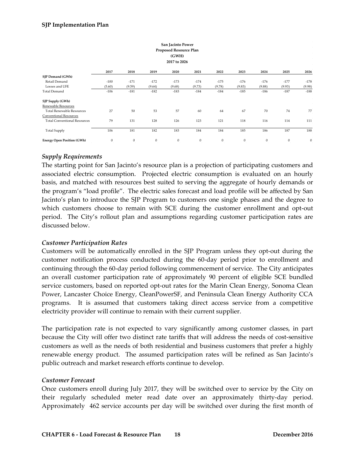|                                     |              |              |              | San Jacinto Power      |              |                  |                  |              |              |              |  |
|-------------------------------------|--------------|--------------|--------------|------------------------|--------------|------------------|------------------|--------------|--------------|--------------|--|
|                                     |              |              |              | Proposed Resource Plan |              |                  |                  |              |              |              |  |
| (GWH)                               |              |              |              |                        |              |                  |                  |              |              |              |  |
|                                     |              |              |              | 2017 to 2026           |              |                  |                  |              |              |              |  |
|                                     |              |              |              |                        |              |                  |                  |              |              |              |  |
|                                     | 2017         | 2018         | 2019         | 2020                   | 2021         | 2022             | 2023             | 2024         | 2025         | 2026         |  |
| SJP Demand (GWh)                    |              |              |              |                        |              |                  |                  |              |              |              |  |
| Retail Demand                       | $-100$       | $-171$       | $-172$       | $-173$                 | $-174$       | $-175$           | $-176$           | $-176$       | $-177$       | $-178$       |  |
| Losses and UFE                      | (5.60)       | (9.59)       | (9.64)       | (9.68)                 | (9.73)       | (9.78)           | (9.83)           | (9.88)       | (9.93)       | (9.98)       |  |
| <b>Total Demand</b>                 | $-106$       | $-181$       | $-182$       | $-183$                 | $-184$       | $-184$           | $-185$           | $-186$       | $-187$       | $-188$       |  |
| SJP Supply (GWh)                    |              |              |              |                        |              |                  |                  |              |              |              |  |
| Renewable Resources                 |              |              |              |                        |              |                  |                  |              |              |              |  |
| <b>Total Renewable Resources</b>    | 27           | 50           | 53           | 57                     | 60           | 64               | 67               | 70           | 74           | 77           |  |
| Conventional Resources              |              |              |              |                        |              |                  |                  |              |              |              |  |
| <b>Total Conventional Resources</b> | 79           | 131          | 128          | 126                    | 123          | 121              | 118              | 116          | 114          | 111          |  |
| <b>Total Supply</b>                 | 106          | 181          | 182          | 183                    | 184          | 184              | 185              | 186          | 187          | 188          |  |
| <b>Energy Open Position (GWh)</b>   | $\mathbf{0}$ | $\mathbf{0}$ | $\mathbf{0}$ | $\mathbf{0}$           | $\mathbf{0}$ | $\boldsymbol{0}$ | $\boldsymbol{0}$ | $\mathbf{0}$ | $\mathbf{0}$ | $\mathbf{0}$ |  |

#### <span id="page-18-0"></span>*Supply Requirements*

The starting point for San Jacinto's resource plan is a projection of participating customers and associated electric consumption. Projected electric consumption is evaluated on an hourly basis, and matched with resources best suited to serving the aggregate of hourly demands or the program's "load profile". The electric sales forecast and load profile will be affected by San Jacinto's plan to introduce the SJP Program to customers one single phases and the degree to which customers choose to remain with SCE during the customer enrollment and opt-out period. The City's rollout plan and assumptions regarding customer participation rates are discussed below.

#### <span id="page-18-1"></span>*Customer Participation Rates*

Customers will be automatically enrolled in the SJP Program unless they opt-out during the customer notification process conducted during the 60-day period prior to enrollment and continuing through the 60-day period following commencement of service. The City anticipates an overall customer participation rate of approximately 90 percent of eligible SCE bundled service customers, based on reported opt-out rates for the Marin Clean Energy, Sonoma Clean Power, Lancaster Choice Energy, CleanPowerSF, and Peninsula Clean Energy Authority CCA programs. It is assumed that customers taking direct access service from a competitive electricity provider will continue to remain with their current supplier.

The participation rate is not expected to vary significantly among customer classes, in part because the City will offer two distinct rate tariffs that will address the needs of cost-sensitive customers as well as the needs of both residential and business customers that prefer a highly renewable energy product. The assumed participation rates will be refined as San Jacinto's public outreach and market research efforts continue to develop.

#### <span id="page-18-2"></span>*Customer Forecast*

Once customers enroll during July 2017, they will be switched over to service by the City on their regularly scheduled meter read date over an approximately thirty-day period. Approximately 462 service accounts per day will be switched over during the first month of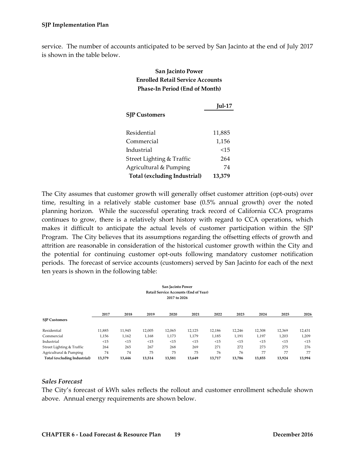service. The number of accounts anticipated to be served by San Jacinto at the end of July 2017 is shown in the table below.

## **San Jacinto Power Enrolled Retail Service Accounts Phase-In Period (End of Month)**

|                              | $Iul-17$ |  |  |  |  |
|------------------------------|----------|--|--|--|--|
| <b>SJP Customers</b>         |          |  |  |  |  |
|                              |          |  |  |  |  |
| Residential                  | 11,885   |  |  |  |  |
| Commercial                   | 1,156    |  |  |  |  |
| Industrial                   | <15      |  |  |  |  |
| Street Lighting & Traffic    | 264      |  |  |  |  |
| Agricultural & Pumping       | 74       |  |  |  |  |
| Total (excluding Industrial) | 13,379   |  |  |  |  |

The City assumes that customer growth will generally offset customer attrition (opt-outs) over time, resulting in a relatively stable customer base (0.5% annual growth) over the noted planning horizon. While the successful operating track record of California CCA programs continues to grow, there is a relatively short history with regard to CCA operations, which makes it difficult to anticipate the actual levels of customer participation within the SJP Program. The City believes that its assumptions regarding the offsetting effects of growth and attrition are reasonable in consideration of the historical customer growth within the City and the potential for continuing customer opt-outs following mandatory customer notification periods. The forecast of service accounts (customers) served by San Jacinto for each of the next ten years is shown in the following table:

| San Jacinto Power<br><b>Retail Service Accounts (End of Year)</b><br>2017 to 2026 |        |        |        |        |        |        |        |        |        |        |
|-----------------------------------------------------------------------------------|--------|--------|--------|--------|--------|--------|--------|--------|--------|--------|
|                                                                                   |        |        |        |        |        |        |        |        |        |        |
| <b>SIP Customers</b>                                                              | 2017   | 2018   | 2019   | 2020   | 2021   | 2022   | 2023   | 2024   | 2025   | 2026   |
| Residential                                                                       | 11,885 | 11,945 | 12,005 | 12,065 | 12,125 | 12,186 | 12,246 | 12,308 | 12,369 | 12,431 |
| Commercial                                                                        | 1,156  | 1,162  | 1,168  | 1,173  | 1,179  | 1,185  | 1,191  | 1,197  | 1,203  | 1,209  |
| Industrial                                                                        | <15    | <15    | <15    | <15    | <15    | <15    | <15    | <15    | <15    | <15    |
| Street Lighting & Traffic                                                         | 264    | 265    | 267    | 268    | 269    | 271    | 272    | 273    | 275    | 276    |
| Agricultural & Pumping                                                            | 74     | 74     | 75     | 75     | 75     | 76     | 76     | 77     | 77     | 77     |
| Total (excluding Industrial)                                                      | 13,379 | 13,446 | 13,514 | 13,581 | 13,649 | 13,717 | 13,786 | 13,855 | 13,924 | 13,994 |

#### <span id="page-19-0"></span>*Sales Forecast*

The City's forecast of kWh sales reflects the rollout and customer enrollment schedule shown above. Annual energy requirements are shown below.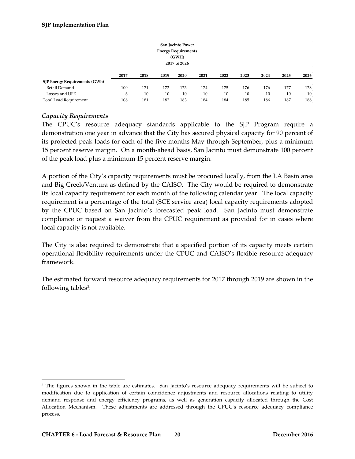|                                      |      |      |      | San Jacinto Power<br><b>Energy Requirements</b><br>(GWH)<br>2017 to 2026 |      |      |      |      |      | $\sim$<br>$\sim$ |
|--------------------------------------|------|------|------|--------------------------------------------------------------------------|------|------|------|------|------|------------------|
|                                      | 2017 | 2018 | 2019 | 2020                                                                     | 2021 | 2022 | 2023 | 2024 | 2025 | 2026             |
| <b>SJP Energy Requirements (GWh)</b> |      |      |      |                                                                          |      |      |      |      |      |                  |
| Retail Demand                        | 100  | 171  | 172  | 173                                                                      | 174  | 175  | 176  | 176  | 177  | 178              |
| Losses and UFE                       | 6    | 10   | 10   | 10                                                                       | 10   | 10   | 10   | 10   | 10   | 10               |
| Total Load Requirement               | 106  | 181  | 182  | 183                                                                      | 184  | 184  | 185  | 186  | 187  | 188              |

## <span id="page-20-0"></span>*Capacity Requirements*

The CPUC's resource adequacy standards applicable to the SJP Program require a demonstration one year in advance that the City has secured physical capacity for 90 percent of its projected peak loads for each of the five months May through September, plus a minimum 15 percent reserve margin. On a month-ahead basis, San Jacinto must demonstrate 100 percent of the peak load plus a minimum 15 percent reserve margin.

A portion of the City's capacity requirements must be procured locally, from the LA Basin area and Big Creek/Ventura as defined by the CAISO. The City would be required to demonstrate its local capacity requirement for each month of the following calendar year. The local capacity requirement is a percentage of the total (SCE service area) local capacity requirements adopted by the CPUC based on San Jacinto's forecasted peak load. San Jacinto must demonstrate compliance or request a waiver from the CPUC requirement as provided for in cases where local capacity is not available.

The City is also required to demonstrate that a specified portion of its capacity meets certain operational flexibility requirements under the CPUC and CAISO's flexible resource adequacy framework.

The estimated forward resource adequacy requirements for 2017 through 2019 are shown in the following tables<sup>3</sup>:

<span id="page-20-1"></span><sup>&</sup>lt;sup>3</sup> The figures shown in the table are estimates. San Jacinto's resource adequacy requirements will be subject to modification due to application of certain coincidence adjustments and resource allocations relating to utility demand response and energy efficiency programs, as well as generation capacity allocated through the Cost Allocation Mechanism. These adjustments are addressed through the CPUC's resource adequacy compliance process.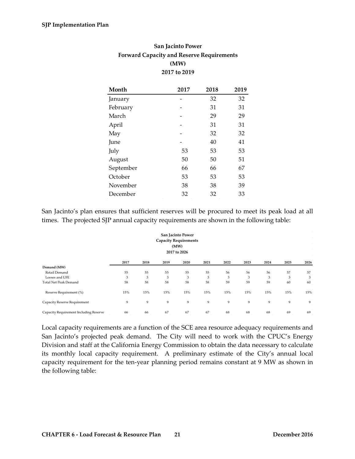| San Jacinto Power                                |
|--------------------------------------------------|
| <b>Forward Capacity and Reserve Requirements</b> |
| (MW)                                             |
| 2017 to 2019                                     |

| Month     | 2017 | 2018 | 2019 |
|-----------|------|------|------|
| January   |      | 32   | 32   |
| February  |      | 31   | 31   |
| March     |      | 29   | 29   |
| April     |      | 31   | 31   |
| May       |      | 32   | 32   |
| June      |      | 40   | 41   |
| July      | 53   | 53   | 53   |
| August    | 50   | 50   | 51   |
| September | 66   | 66   | 67   |
| October   | 53   | 53   | 53   |
| November  | 38   | 38   | 39   |
| December  | 32   | 32   | 33   |

San Jacinto's plan ensures that sufficient reserves will be procured to meet its peak load at all times. The projected SJP annual capacity requirements are shown in the following table:

| San Jacinto Power<br><b>Capacity Requirements</b><br>(MW)<br>2017 to 2026 |      |      |      |      |      |      |      |      |      |      |
|---------------------------------------------------------------------------|------|------|------|------|------|------|------|------|------|------|
|                                                                           | 2017 | 2018 | 2019 | 2020 | 2021 | 2022 | 2023 | 2024 | 2025 | 2026 |
| Demand (MW)                                                               |      |      |      |      |      |      |      |      |      |      |
| Retail Demand                                                             | 55   | 55   | 55   | 55   | 55   | 56   | 56   | 56   | 57   | 57   |
| Losses and UFE                                                            | 3    | 3    | 3    | 3    | 3    | 3    | 3    | 3    | 3    | 3    |
| <b>Total Net Peak Demand</b>                                              | 58   | 58   | 58   | 58   | 58   | 59   | 59   | 59   | 60   | 60   |
| Reserve Requirement (%)                                                   | 15%  | 15%  | 15%  | 15%  | 15%  | 15%  | 15%  | 15%  | 15%  | 15%  |
| Capacity Reserve Requirement                                              | 9    | 9    | 9    | 9    | 9    | 9    | 9    | 9    | 9    | 9    |
| Capacity Requirement Including Reserve                                    | 66   | 66   | 67   | 67   | 67   | 68   | 68   | 68   | 69   | 69   |

Local capacity requirements are a function of the SCE area resource adequacy requirements and San Jacinto's projected peak demand. The City will need to work with the CPUC's Energy Division and staff at the California Energy Commission to obtain the data necessary to calculate its monthly local capacity requirement. A preliminary estimate of the City's annual local capacity requirement for the ten-year planning period remains constant at 9 MW as shown in the following table: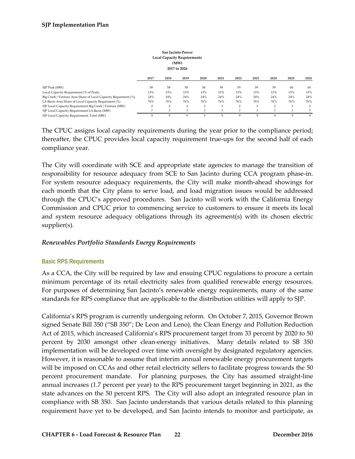| San Jacinto Power<br><b>Local Capacity Requirements</b><br>(MW)<br>2017 to 2026 |      |                 |                |                |      |      |                |      |                |      |  |
|---------------------------------------------------------------------------------|------|-----------------|----------------|----------------|------|------|----------------|------|----------------|------|--|
|                                                                                 | 2017 | 2018            | 2019           | 2020           | 2021 | 2022 | 2023           | 2024 | 2025           | 2026 |  |
| SJP Peak (MW)                                                                   | 58   | 58              | 58             | 58             | 58   | 59   | 59             | 59   | 60             | 60   |  |
| Local Capacity Requirement (% of Peak)                                          | 15%  | 15%             | 15%            | 15%            | 15%  | 15%  | 15%            | 15%  | 15%            | 15%  |  |
| Big Creek / Ventura Area Share of Local Capacity Requirment (%)                 | 24%  | 24%             | 24%            | 24%            | 24%  | 24%  | 24%            | 24%  | 24%            | 24%  |  |
| LA Basin Area Share of Local Capacity Requirment (%)                            | 76%  | 76%             | 76%            | 76%            | 76%  | 76%  | 76%            | 76%  | 76%            | 76%  |  |
| SJP Local Capacity Requirement Big Creek / Ventura (MW)                         | 2    | 2               | 2              | $\overline{2}$ | 2    | 2    | $\overline{2}$ | 2    | $\overline{2}$ |      |  |
| SJP Local Capacity Requirement LA Basin (MW)                                    |      | $7\overline{ }$ | $\overline{7}$ | $\overline{7}$ | P.   | 7    | 7              | 7    | 7              |      |  |
| SJP Local Capacity Requirement, Total (MW)                                      |      | 9               | 9              | 9              | 9    | 9    | 9              | 9    | 9              | 9    |  |

The CPUC assigns local capacity requirements during the year prior to the compliance period; thereafter, the CPUC provides local capacity requirement true-ups for the second half of each compliance year.

The City will coordinate with SCE and appropriate state agencies to manage the transition of responsibility for resource adequacy from SCE to San Jacinto during CCA program phase-in. For system resource adequacy requirements, the City will make month-ahead showings for each month that the City plans to serve load, and load migration issues would be addressed through the CPUC's approved procedures. San Jacinto will work with the California Energy Commission and CPUC prior to commencing service to customers to ensure it meets its local and system resource adequacy obligations through its agreement(s) with its chosen electric supplier(s).

#### <span id="page-22-0"></span>*Renewables Portfolio Standards Energy Requirements*

#### <span id="page-22-1"></span>**Basic RPS Requirements**

As a CCA, the City will be required by law and ensuing CPUC regulations to procure a certain minimum percentage of its retail electricity sales from qualified renewable energy resources. For purposes of determining San Jacinto's renewable energy requirements, many of the same standards for RPS compliance that are applicable to the distribution utilities will apply to SJP.

California's RPS program is currently undergoing reform. On October 7, 2015, Governor Brown signed Senate Bill 350 ("SB 350"; De Leon and Leno), the Clean Energy and Pollution Reduction Act of 2015, which increased California's RPS procurement target from 33 percent by 2020 to 50 percent by 2030 amongst other clean-energy initiatives. Many details related to SB 350 implementation will be developed over time with oversight by designated regulatory agencies. However, it is reasonable to assume that interim annual renewable energy procurement targets will be imposed on CCAs and other retail electricity sellers to facilitate progress towards the 50 percent procurement mandate. For planning purposes, the City has assumed straight-line annual increases (1.7 percent per year) to the RPS procurement target beginning in 2021, as the state advances on the 50 percent RPS. The City will also adopt an integrated resource plan in compliance with SB 350. San Jacinto understands that various details related to this planning requirement have yet to be developed, and San Jacinto intends to monitor and participate, as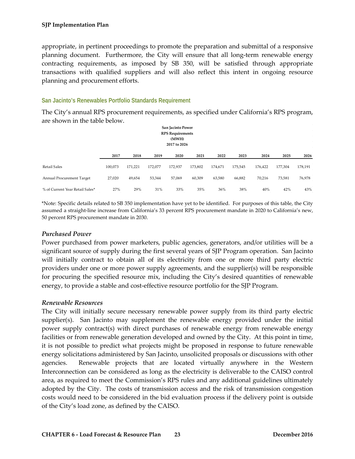appropriate, in pertinent proceedings to promote the preparation and submittal of a responsive planning document. Furthermore, the City will ensure that all long-term renewable energy contracting requirements, as imposed by SB 350, will be satisfied through appropriate transactions with qualified suppliers and will also reflect this intent in ongoing resource planning and procurement efforts.

#### <span id="page-23-0"></span>**San Jacinto's Renewables Portfolio Standards Requirement**

The City's annual RPS procurement requirements, as specified under California's RPS program, are shown in the table below.

| San Jacinto Power<br><b>RPS</b> Requirements<br>(MWH)<br>2017 to 2026 |         |         |         |         |         |         |         |         |         |         |  |
|-----------------------------------------------------------------------|---------|---------|---------|---------|---------|---------|---------|---------|---------|---------|--|
|                                                                       | 2017    | 2018    | 2019    | 2020    | 2021    | 2022    | 2023    | 2024    | 2025    | 2026    |  |
| <b>Retail Sales</b>                                                   | 100,073 | 171,221 | 172,077 | 172,937 | 173,802 | 174,671 | 175,545 | 176,422 | 177,304 | 178,191 |  |
| Annual Procurement Target                                             | 27,020  | 49,654  | 53,344  | 57,069  | 60,309  | 63,580  | 66,882  | 70,216  | 73,581  | 76,978  |  |
| % of Current Year Retail Sales*                                       | 27%     | 29%     | 31%     | 33%     | 35%     | 36%     | 38%     | 40%     | 42%     | 43%     |  |

\*Note: Specific details related to SB 350 implementation have yet to be identified. For purposes of this table, the City assumed a straight-line increase from California's 33 percent RPS procurement mandate in 2020 to California's new, 50 percent RPS procurement mandate in 2030.

#### <span id="page-23-1"></span>*Purchased Power*

Power purchased from power marketers, public agencies, generators, and/or utilities will be a significant source of supply during the first several years of SJP Program operation. San Jacinto will initially contract to obtain all of its electricity from one or more third party electric providers under one or more power supply agreements, and the supplier(s) will be responsible for procuring the specified resource mix, including the City's desired quantities of renewable energy, to provide a stable and cost-effective resource portfolio for the SJP Program.

#### <span id="page-23-2"></span>*Renewable Resources*

The City will initially secure necessary renewable power supply from its third party electric supplier(s). San Jacinto may supplement the renewable energy provided under the initial power supply contract(s) with direct purchases of renewable energy from renewable energy facilities or from renewable generation developed and owned by the City. At this point in time, it is not possible to predict what projects might be proposed in response to future renewable energy solicitations administered by San Jacinto, unsolicited proposals or discussions with other agencies. Renewable projects that are located virtually anywhere in the Western Interconnection can be considered as long as the electricity is deliverable to the CAISO control area, as required to meet the Commission's RPS rules and any additional guidelines ultimately adopted by the City. The costs of transmission access and the risk of transmission congestion costs would need to be considered in the bid evaluation process if the delivery point is outside of the City's load zone, as defined by the CAISO.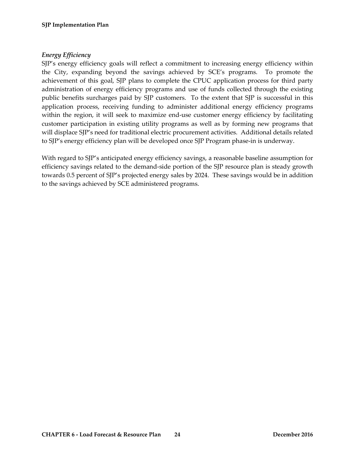## <span id="page-24-0"></span>*Energy Efficiency*

SJP's energy efficiency goals will reflect a commitment to increasing energy efficiency within the City, expanding beyond the savings achieved by SCE's programs. To promote the achievement of this goal, SJP plans to complete the CPUC application process for third party administration of energy efficiency programs and use of funds collected through the existing public benefits surcharges paid by SJP customers. To the extent that SJP is successful in this application process, receiving funding to administer additional energy efficiency programs within the region, it will seek to maximize end-use customer energy efficiency by facilitating customer participation in existing utility programs as well as by forming new programs that will displace SJP's need for traditional electric procurement activities. Additional details related to SJP's energy efficiency plan will be developed once SJP Program phase-in is underway.

With regard to SJP's anticipated energy efficiency savings, a reasonable baseline assumption for efficiency savings related to the demand-side portion of the SJP resource plan is steady growth towards 0.5 percent of SJP's projected energy sales by 2024. These savings would be in addition to the savings achieved by SCE administered programs.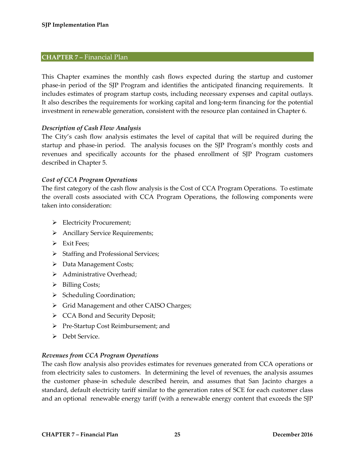## <span id="page-25-0"></span>**CHAPTER 7 –** Financial Plan

This Chapter examines the monthly cash flows expected during the startup and customer phase-in period of the SJP Program and identifies the anticipated financing requirements. It includes estimates of program startup costs, including necessary expenses and capital outlays. It also describes the requirements for working capital and long-term financing for the potential investment in renewable generation, consistent with the resource plan contained in Chapter 6.

## <span id="page-25-1"></span>*Description of Cash Flow Analysis*

The City's cash flow analysis estimates the level of capital that will be required during the startup and phase-in period. The analysis focuses on the SJP Program's monthly costs and revenues and specifically accounts for the phased enrollment of SJP Program customers described in Chapter 5.

## <span id="page-25-2"></span>*Cost of CCA Program Operations*

The first category of the cash flow analysis is the Cost of CCA Program Operations. To estimate the overall costs associated with CCA Program Operations, the following components were taken into consideration:

- > Electricity Procurement;
- > Ancillary Service Requirements;
- $\triangleright$  Exit Fees:
- $\triangleright$  Staffing and Professional Services;
- Data Management Costs;
- > Administrative Overhead;
- $\triangleright$  Billing Costs;
- $\triangleright$  Scheduling Coordination;
- Simple Territon Management and other CAISO Charges;
- CCA Bond and Security Deposit;
- ▶ Pre-Startup Cost Reimbursement; and
- > Debt Service.

#### <span id="page-25-3"></span>*Revenues from CCA Program Operations*

The cash flow analysis also provides estimates for revenues generated from CCA operations or from electricity sales to customers. In determining the level of revenues, the analysis assumes the customer phase-in schedule described herein, and assumes that San Jacinto charges a standard, default electricity tariff similar to the generation rates of SCE for each customer class and an optional renewable energy tariff (with a renewable energy content that exceeds the SJP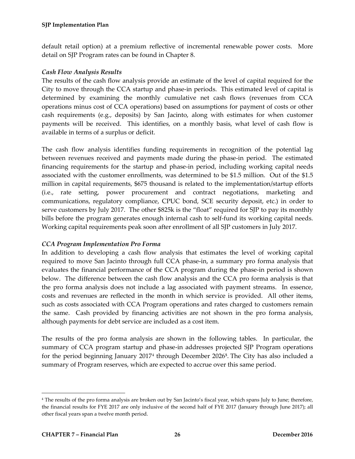default retail option) at a premium reflective of incremental renewable power costs. More detail on SJP Program rates can be found in Chapter 8.

## <span id="page-26-0"></span>*Cash Flow Analysis Results*

The results of the cash flow analysis provide an estimate of the level of capital required for the City to move through the CCA startup and phase-in periods. This estimated level of capital is determined by examining the monthly cumulative net cash flows (revenues from CCA operations minus cost of CCA operations) based on assumptions for payment of costs or other cash requirements (e.g., deposits) by San Jacinto, along with estimates for when customer payments will be received. This identifies, on a monthly basis, what level of cash flow is available in terms of a surplus or deficit.

The cash flow analysis identifies funding requirements in recognition of the potential lag between revenues received and payments made during the phase-in period. The estimated financing requirements for the startup and phase-in period, including working capital needs associated with the customer enrollments, was determined to be \$1.5 million. Out of the \$1.5 million in capital requirements, \$675 thousand is related to the implementation/startup efforts (i.e., rate setting, power procurement and contract negotiations, marketing and communications, regulatory compliance, CPUC bond, SCE security deposit, etc.) in order to serve customers by July 2017. The other \$825k is the "float" required for SJP to pay its monthly bills before the program generates enough internal cash to self-fund its working capital needs. Working capital requirements peak soon after enrollment of all SJP customers in July 2017.

## <span id="page-26-1"></span>*CCA Program Implementation Pro Forma*

In addition to developing a cash flow analysis that estimates the level of working capital required to move San Jacinto through full CCA phase-in, a summary pro forma analysis that evaluates the financial performance of the CCA program during the phase-in period is shown below. The difference between the cash flow analysis and the CCA pro forma analysis is that the pro forma analysis does not include a lag associated with payment streams. In essence, costs and revenues are reflected in the month in which service is provided. All other items, such as costs associated with CCA Program operations and rates charged to customers remain the same. Cash provided by financing activities are not shown in the pro forma analysis, although payments for debt service are included as a cost item.

The results of the pro forma analysis are shown in the following tables. In particular, the summary of CCA program startup and phase-in addresses projected SJP Program operations for the period beginning January 2017[4](#page-26-2) through December 2026**[5](#page-26-2)**. The City has also included a summary of Program reserves, which are expected to accrue over this same period.

<span id="page-26-2"></span> <sup>4</sup> The results of the pro forma analysis are broken out by San Jacinto's fiscal year, which spans July to June; therefore, the financial results for FYE 2017 are only inclusive of the second half of FYE 2017 (January through June 2017); all other fiscal years span a twelve month period.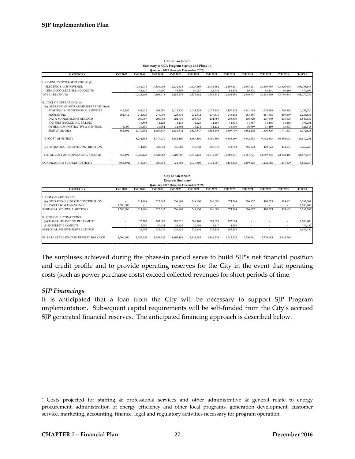| City of San Jacinto<br>Summary of CCA Program Startup and Phase-In     |                          |                 |                 |                 |                 |                 |                 |                 |                 |            |             |
|------------------------------------------------------------------------|--------------------------|-----------------|-----------------|-----------------|-----------------|-----------------|-----------------|-----------------|-----------------|------------|-------------|
| (January 2017 through December 2026)                                   |                          |                 |                 |                 |                 |                 |                 |                 |                 |            |             |
| <b>CATEGORY</b>                                                        | <b>FYE 2017</b>          | <b>FYE 2018</b> | <b>FYE 2019</b> | <b>FYE 2020</b> | <b>FYE 2021</b> | <b>FYE 2022</b> | <b>FYE 2023</b> | <b>FYE 2024</b> | <b>FYE 2025</b> | FYE 2026   | TOTAL       |
| I. REVENUES FROM OPERATIONS (\$)                                       |                          |                 |                 |                 |                 |                 |                 |                 |                 |            |             |
| <b>ELECTRIC SALES REVENUE</b>                                          | $\overline{\phantom{a}}$ | 10.482.933      | 10.851.408      | 11.232.835      | 11.627.669      | 12.036.382      | 12.459.461      | 12.897.411      | 13.350.755      | 13.820.034 | 108,758,886 |
| LESS UNCOLLECTIBLE ACCOUNTS                                            | ٠                        | 48.530          | 47.490          | 49.359          | 50,987          | 52,748          | 54,576          | 56,474          | 58,444          | 60.489     | 479,097     |
| <b>TOTAL REVENUES</b>                                                  | ٠                        | 10,434,403      | 10,803,918      | 11,183,476      | 11,576,682      | 11,983,634      | 12,404,884      | 12,840,937      | 13,292,310      | 13,759,544 | 108,279,789 |
| II. COST OF OPERATIONS (\$)<br>(A) OPERATIONS AND ADMINISTRATIVE (O&A) |                          |                 |                 |                 |                 |                 |                 |                 |                 |            |             |
| STAFFING & PROFESSIONAL SERVICES                                       | 445.750                  | 955.623         | 984.291         | 1.013.820       | 1.044.235       | 1,075,562       | 1.107.828       | 1.141.063       | 1.175.295       | 1,210,554  | 10,154,020  |
| <b>MARKETING</b>                                                       | 104.742                  | 212.626         | 219.005         | 225,575         | 232,342         | 239,313         | 246,492         | 253,887         | 261,503         | 269,349    | 2,264,835   |
| DATA MANAGEMENT SERVICES                                               |                          | 200.759         | 201.765         | 202,770         | 203.775         | 204.780         | 205.800         | 206.820         | 207,840         | 208,875    | 1,843,184   |
| <b>IOU FEES (INCLUDING BILLING)</b>                                    | ٠                        | 71,895          | 14.125          | 14.173          | 14,221          | 14,269          | 14,318          | 14,367          | 14,416          | 14,466     | 186,251     |
| OTHER ADMINISTRATIVE & GENERAL                                         | 15,000                   | 30,450          | 31,364          | 32,304          | 33,274          | 34,272          | 35,300          | 36,359          | 37,450          | 38,573     | 324,345     |
| <b>SUBTOTAL O&amp;A</b>                                                | 565,492                  | 1,471,352       | 1,450,549       | 1,488,642       | 1,527,847       | 1,568,195       | 1,609,739       | 1,652,496       | 1,696,505       | 1,741,817  | 14,772,635  |
| (B) COST OF ENERGY                                                     | ٠                        | 8,234,583       | 8.047.471       | 8.383.160       | 8.669.501       | 8.981.380       | 9.305.489       | 9.642.303       | 9.992.318       | 10.356.047 | 81,612,251  |
| (C) OPERATING RESERVE CONTRIBUTION                                     | ٠                        | 314.488         | 325,542         | 336.985         | 348.830         | 361,091         | 373,784         | 386.922         | 400,523         | 414,601    | 3,262,767   |
| TOTAL COST AND OPERATING RESERVE                                       | 565.492                  | 10,020,423      | 9,823,563       | 10,208,787      | 10.546.178      | 10.910.667      | 11,289,011      | 11.681.721      | 12,089,345      | 12,512,465 | 84,875,018  |
| CCA PROGRAM SURPLUS/(DEFICIT)                                          | (565, 492)               | 413,980         | 980,355         | 974,688         | 1,030,505       | 1,072,967       | 1,115,873       | 1,159,215       | 1,202,966       | 1,247,079  | 8,632,137   |

| City of San Jacinto                                           |                 |                 |                 |                   |                                     |                   |                   |                                     |                 |                          |                        |
|---------------------------------------------------------------|-----------------|-----------------|-----------------|-------------------|-------------------------------------|-------------------|-------------------|-------------------------------------|-----------------|--------------------------|------------------------|
| <b>Reserves Summary</b>                                       |                 |                 |                 |                   |                                     |                   |                   |                                     |                 |                          |                        |
| (January 2017 through December 2026)                          |                 |                 |                 |                   |                                     |                   |                   |                                     |                 |                          |                        |
| <b>CATEGORY</b>                                               | <b>FYE 2017</b> | <b>FYE 2018</b> | <b>FYE 2019</b> | <b>FYE 2020</b>   | <b>FYE 2021</b>                     | <b>FYE 2022</b>   | <b>FYE 2023</b>   | <b>FYE 2024</b>                     | <b>FYE 2025</b> | <b>FYE 2026</b>          | <b>TOTAL</b>           |
| <b>I. RESERVE ADDITIONS</b>                                   |                 |                 |                 |                   |                                     |                   |                   |                                     |                 |                          |                        |
| (A) OPERATING RESERVE CONTRIBUTION<br>(B) CASH FROM FINANCING | ٠<br>,500,000   | 314,488         | 325,542         | 336,985<br>$\sim$ | 348,830<br>$\overline{\phantom{a}}$ | 361,091<br>$\sim$ | 373,784<br>$\sim$ | 386,922<br>$\overline{\phantom{a}}$ | 400,523         | 414,601                  | 3,262,767<br>1,500,000 |
| <b>SUBTOTAL RESERVE ADDITIONS</b>                             | 1,500,000       | 314,488         | 325,542         | 336,985           | 348,830                             | 361,091           | 373,784           | 386,922                             | 400,523         | 414,601                  | 3,262,767              |
| II. RESERVE SUBTRACTIONS                                      |                 |                 |                 |                   |                                     |                   |                   |                                     |                 |                          |                        |
| (A) TOTAL FINANCING REPAYMENT                                 | ۰               | 23,203          | 283.003         | 291.611           | 300.480                             | 309,620           | 292,084           |                                     |                 | $\overline{\phantom{a}}$ | 1,500,000              |
| (B) INTEREST PAYMENTS                                         | ۰               | 3,750           | 40,434          | 31,826            | 22,956                              | 13,817            | 4,399             |                                     |                 | $\,$                     | 117,182                |
| <b>SUBTOTAL RESERVE SUBTRACTIONS</b>                          | ۰               | 26,953          | 323,436         | 323,436           | 323,436                             | 323,436           | 296,483           |                                     |                 | ٠                        | 1,617,182              |
| III. RATE STABILIZATION RESERVE BALANCE                       | 1,500,000       | 1,787,535       | 1,789,641       | 1,803,189         | 1,828,583                           | 1,866,238         | 1,943,538         | 2,330,461                           | 2,730,983       | 3,145,584                |                        |

The surpluses achieved during the phase-in period serve to build SJP's net financial position and credit profile and to provide operating reserves for the City in the event that operating costs (such as power purchase costs) exceed collected revenues for short periods of time.

#### <span id="page-27-0"></span>*SJP Financings*

It is anticipated that a loan from the City will be necessary to support SJP Program implementation. Subsequent capital requirements will be self-funded from the City's accrued SJP generated financial reserves. The anticipated financing approach is described below.

 <sup>5</sup> Costs projected for staffing & professional services and other administrative & general relate to energy procurement, administration of energy efficiency and other local programs, generation development, customer service, marketing, accounting, finance, legal and regulatory activities necessary for program operation.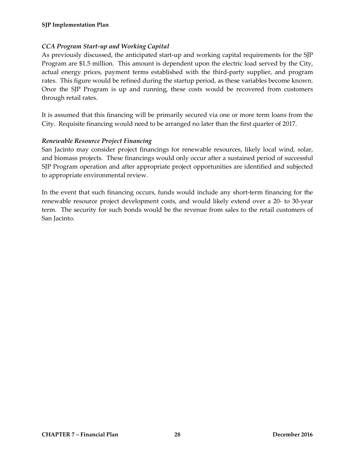## <span id="page-28-0"></span>*CCA Program Start-up and Working Capital*

As previously discussed, the anticipated start-up and working capital requirements for the SJP Program are \$1.5 million. This amount is dependent upon the electric load served by the City, actual energy prices, payment terms established with the third-party supplier, and program rates. This figure would be refined during the startup period, as these variables become known. Once the SJP Program is up and running, these costs would be recovered from customers through retail rates.

It is assumed that this financing will be primarily secured via one or more term loans from the City. Requisite financing would need to be arranged no later than the first quarter of 2017.

## <span id="page-28-1"></span>*Renewable Resource Project Financing*

San Jacinto may consider project financings for renewable resources, likely local wind, solar, and biomass projects. These financings would only occur after a sustained period of successful SJP Program operation and after appropriate project opportunities are identified and subjected to appropriate environmental review.

In the event that such financing occurs, funds would include any short-term financing for the renewable resource project development costs, and would likely extend over a 20- to 30-year term. The security for such bonds would be the revenue from sales to the retail customers of San Jacinto.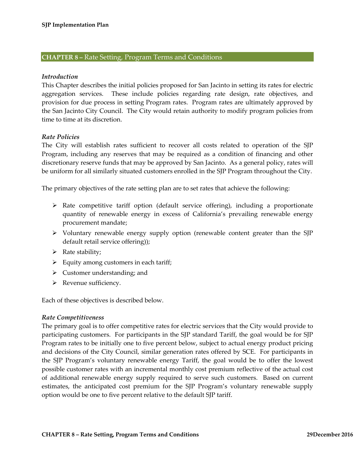#### <span id="page-29-0"></span>**CHAPTER 8 –** Rate Setting, Program Terms and Conditions

#### <span id="page-29-1"></span>*Introduction*

This Chapter describes the initial policies proposed for San Jacinto in setting its rates for electric aggregation services. These include policies regarding rate design, rate objectives, and provision for due process in setting Program rates. Program rates are ultimately approved by the San Jacinto City Council. The City would retain authority to modify program policies from time to time at its discretion.

#### <span id="page-29-2"></span>*Rate Policies*

The City will establish rates sufficient to recover all costs related to operation of the SJP Program, including any reserves that may be required as a condition of financing and other discretionary reserve funds that may be approved by San Jacinto. As a general policy, rates will be uniform for all similarly situated customers enrolled in the SJP Program throughout the City.

The primary objectives of the rate setting plan are to set rates that achieve the following:

- $\triangleright$  Rate competitive tariff option (default service offering), including a proportionate quantity of renewable energy in excess of California's prevailing renewable energy procurement mandate;
- $\triangleright$  Voluntary renewable energy supply option (renewable content greater than the SJP default retail service offering));
- $\triangleright$  Rate stability;
- $\triangleright$  Equity among customers in each tariff;
- $\triangleright$  Customer understanding; and
- $\triangleright$  Revenue sufficiency.

Each of these objectives is described below.

#### <span id="page-29-3"></span>*Rate Competitiveness*

The primary goal is to offer competitive rates for electric services that the City would provide to participating customers. For participants in the SJP standard Tariff, the goal would be for SJP Program rates to be initially one to five percent below, subject to actual energy product pricing and decisions of the City Council, similar generation rates offered by SCE. For participants in the SJP Program's voluntary renewable energy Tariff, the goal would be to offer the lowest possible customer rates with an incremental monthly cost premium reflective of the actual cost of additional renewable energy supply required to serve such customers. Based on current estimates, the anticipated cost premium for the SJP Program's voluntary renewable supply option would be one to five percent relative to the default SJP tariff.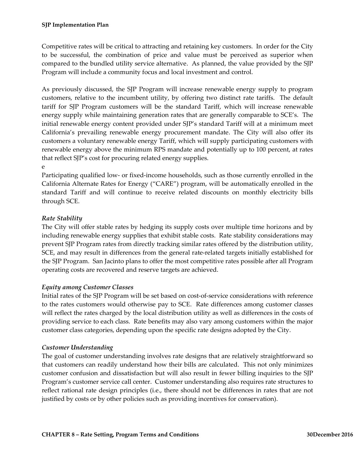Competitive rates will be critical to attracting and retaining key customers. In order for the City to be successful, the combination of price and value must be perceived as superior when compared to the bundled utility service alternative. As planned, the value provided by the SJP Program will include a community focus and local investment and control.

As previously discussed, the SJP Program will increase renewable energy supply to program customers, relative to the incumbent utility, by offering two distinct rate tariffs. The default tariff for SJP Program customers will be the standard Tariff, which will increase renewable energy supply while maintaining generation rates that are generally comparable to SCE's. The initial renewable energy content provided under SJP's standard Tariff will at a minimum meet California's prevailing renewable energy procurement mandate. The City will also offer its customers a voluntary renewable energy Tariff, which will supply participating customers with renewable energy above the minimum RPS mandate and potentially up to 100 percent, at rates that reflect SJP's cost for procuring related energy supplies.

e Participating qualified low- or fixed-income households, such as those currently enrolled in the California Alternate Rates for Energy ("CARE") program, will be automatically enrolled in the standard Tariff and will continue to receive related discounts on monthly electricity bills through SCE.

## <span id="page-30-0"></span>*Rate Stability*

The City will offer stable rates by hedging its supply costs over multiple time horizons and by including renewable energy supplies that exhibit stable costs. Rate stability considerations may prevent SJP Program rates from directly tracking similar rates offered by the distribution utility, SCE, and may result in differences from the general rate-related targets initially established for the SJP Program. San Jacinto plans to offer the most competitive rates possible after all Program operating costs are recovered and reserve targets are achieved.

## <span id="page-30-1"></span>*Equity among Customer Classes*

Initial rates of the SJP Program will be set based on cost-of-service considerations with reference to the rates customers would otherwise pay to SCE. Rate differences among customer classes will reflect the rates charged by the local distribution utility as well as differences in the costs of providing service to each class. Rate benefits may also vary among customers within the major customer class categories, depending upon the specific rate designs adopted by the City.

#### <span id="page-30-2"></span>*Customer Understanding*

The goal of customer understanding involves rate designs that are relatively straightforward so that customers can readily understand how their bills are calculated. This not only minimizes customer confusion and dissatisfaction but will also result in fewer billing inquiries to the SJP Program's customer service call center. Customer understanding also requires rate structures to reflect rational rate design principles (i.e., there should not be differences in rates that are not justified by costs or by other policies such as providing incentives for conservation).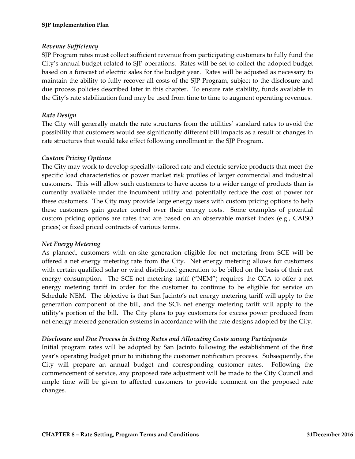#### <span id="page-31-0"></span>*Revenue Sufficiency*

SJP Program rates must collect sufficient revenue from participating customers to fully fund the City's annual budget related to SJP operations. Rates will be set to collect the adopted budget based on a forecast of electric sales for the budget year. Rates will be adjusted as necessary to maintain the ability to fully recover all costs of the SJP Program, subject to the disclosure and due process policies described later in this chapter. To ensure rate stability, funds available in the City's rate stabilization fund may be used from time to time to augment operating revenues.

## <span id="page-31-1"></span>*Rate Design*

The City will generally match the rate structures from the utilities' standard rates to avoid the possibility that customers would see significantly different bill impacts as a result of changes in rate structures that would take effect following enrollment in the SJP Program.

#### <span id="page-31-2"></span>*Custom Pricing Options*

The City may work to develop specially-tailored rate and electric service products that meet the specific load characteristics or power market risk profiles of larger commercial and industrial customers. This will allow such customers to have access to a wider range of products than is currently available under the incumbent utility and potentially reduce the cost of power for these customers. The City may provide large energy users with custom pricing options to help these customers gain greater control over their energy costs. Some examples of potential custom pricing options are rates that are based on an observable market index (e.g., CAISO prices) or fixed priced contracts of various terms.

#### <span id="page-31-3"></span>*Net Energy Metering*

As planned, customers with on-site generation eligible for net metering from SCE will be offered a net energy metering rate from the City. Net energy metering allows for customers with certain qualified solar or wind distributed generation to be billed on the basis of their net energy consumption. The SCE net metering tariff ("NEM") requires the CCA to offer a net energy metering tariff in order for the customer to continue to be eligible for service on Schedule NEM. The objective is that San Jacinto's net energy metering tariff will apply to the generation component of the bill, and the SCE net energy metering tariff will apply to the utility's portion of the bill. The City plans to pay customers for excess power produced from net energy metered generation systems in accordance with the rate designs adopted by the City.

#### <span id="page-31-4"></span>*Disclosure and Due Process in Setting Rates and Allocating Costs among Participants*

Initial program rates will be adopted by San Jacinto following the establishment of the first year's operating budget prior to initiating the customer notification process. Subsequently, the City will prepare an annual budget and corresponding customer rates. Following the commencement of service, any proposed rate adjustment will be made to the City Council and ample time will be given to affected customers to provide comment on the proposed rate changes.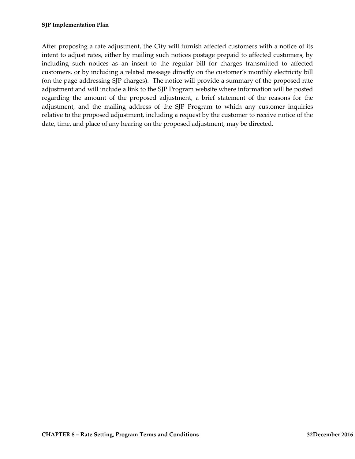After proposing a rate adjustment, the City will furnish affected customers with a notice of its intent to adjust rates, either by mailing such notices postage prepaid to affected customers, by including such notices as an insert to the regular bill for charges transmitted to affected customers, or by including a related message directly on the customer's monthly electricity bill (on the page addressing SJP charges). The notice will provide a summary of the proposed rate adjustment and will include a link to the SJP Program website where information will be posted regarding the amount of the proposed adjustment, a brief statement of the reasons for the adjustment, and the mailing address of the SJP Program to which any customer inquiries relative to the proposed adjustment, including a request by the customer to receive notice of the date, time, and place of any hearing on the proposed adjustment, may be directed.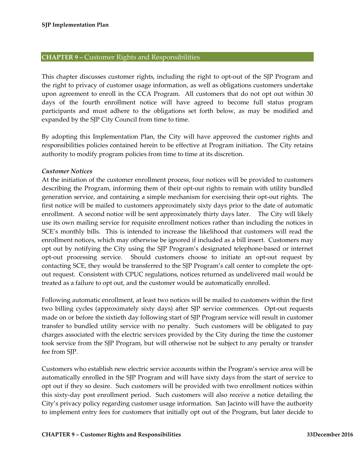#### <span id="page-33-0"></span>**CHAPTER 9 –** Customer Rights and Responsibilities

This chapter discusses customer rights, including the right to opt-out of the SJP Program and the right to privacy of customer usage information, as well as obligations customers undertake upon agreement to enroll in the CCA Program. All customers that do not opt out within 30 days of the fourth enrollment notice will have agreed to become full status program participants and must adhere to the obligations set forth below, as may be modified and expanded by the SJP City Council from time to time.

By adopting this Implementation Plan, the City will have approved the customer rights and responsibilities policies contained herein to be effective at Program initiation. The City retains authority to modify program policies from time to time at its discretion.

#### <span id="page-33-1"></span>*Customer Notices*

At the initiation of the customer enrollment process, four notices will be provided to customers describing the Program, informing them of their opt-out rights to remain with utility bundled generation service, and containing a simple mechanism for exercising their opt-out rights. The first notice will be mailed to customers approximately sixty days prior to the date of automatic enrollment. A second notice will be sent approximately thirty days later. The City will likely use its own mailing service for requisite enrollment notices rather than including the notices in SCE's monthly bills. This is intended to increase the likelihood that customers will read the enrollment notices, which may otherwise be ignored if included as a bill insert. Customers may opt out by notifying the City using the SJP Program's designated telephone-based or internet opt-out processing service. Should customers choose to initiate an opt-out request by contacting SCE, they would be transferred to the SJP Program's call center to complete the optout request. Consistent with CPUC regulations, notices returned as undelivered mail would be treated as a failure to opt out, and the customer would be automatically enrolled.

Following automatic enrollment, at least two notices will be mailed to customers within the first two billing cycles (approximately sixty days) after SJP service commences. Opt-out requests made on or before the sixtieth day following start of SJP Program service will result in customer transfer to bundled utility service with no penalty. Such customers will be obligated to pay charges associated with the electric services provided by the City during the time the customer took service from the SJP Program, but will otherwise not be subject to any penalty or transfer fee from SJP.

Customers who establish new electric service accounts within the Program's service area will be automatically enrolled in the SJP Program and will have sixty days from the start of service to opt out if they so desire. Such customers will be provided with two enrollment notices within this sixty-day post enrollment period. Such customers will also receive a notice detailing the City's privacy policy regarding customer usage information. San Jacinto will have the authority to implement entry fees for customers that initially opt out of the Program, but later decide to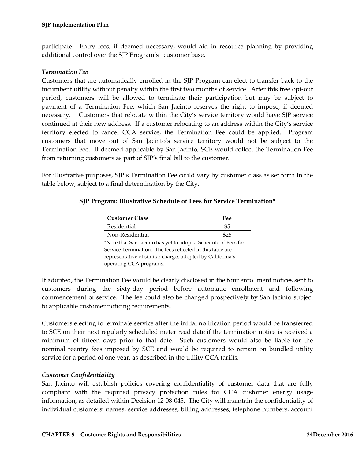participate. Entry fees, if deemed necessary, would aid in resource planning by providing additional control over the SJP Program's customer base.

#### <span id="page-34-0"></span>*Termination Fee*

Customers that are automatically enrolled in the SJP Program can elect to transfer back to the incumbent utility without penalty within the first two months of service. After this free opt-out period, customers will be allowed to terminate their participation but may be subject to payment of a Termination Fee, which San Jacinto reserves the right to impose, if deemed necessary. Customers that relocate within the City's service territory would have SJP service continued at their new address. If a customer relocating to an address within the City's service territory elected to cancel CCA service, the Termination Fee could be applied. Program customers that move out of San Jacinto's service territory would not be subject to the Termination Fee. If deemed applicable by San Jacinto, SCE would collect the Termination Fee from returning customers as part of SJP's final bill to the customer.

For illustrative purposes, SJP's Termination Fee could vary by customer class as set forth in the table below, subject to a final determination by the City.

## **SJP Program: Illustrative Schedule of Fees for Service Termination\***

| Customer Class  | Fee  |  |  |  |
|-----------------|------|--|--|--|
| Residential     | \$5  |  |  |  |
| Non-Residential | ⊕ິດເ |  |  |  |

\*Note that San Jacinto has yet to adopt a Schedule of Fees for Service Termination. The fees reflected in this table are representative of similar charges adopted by California's operating CCA programs.

If adopted, the Termination Fee would be clearly disclosed in the four enrollment notices sent to customers during the sixty-day period before automatic enrollment and following commencement of service. The fee could also be changed prospectively by San Jacinto subject to applicable customer noticing requirements.

Customers electing to terminate service after the initial notification period would be transferred to SCE on their next regularly scheduled meter read date if the termination notice is received a minimum of fifteen days prior to that date. Such customers would also be liable for the nominal reentry fees imposed by SCE and would be required to remain on bundled utility service for a period of one year, as described in the utility CCA tariffs.

#### <span id="page-34-1"></span>*Customer Confidentiality*

San Jacinto will establish policies covering confidentiality of customer data that are fully compliant with the required privacy protection rules for CCA customer energy usage information, as detailed within Decision 12-08-045. The City will maintain the confidentiality of individual customers' names, service addresses, billing addresses, telephone numbers, account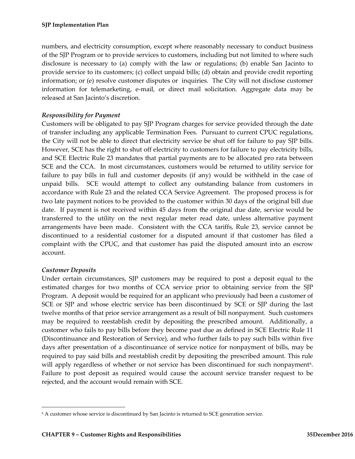numbers, and electricity consumption, except where reasonably necessary to conduct business of the SJP Program or to provide services to customers, including but not limited to where such disclosure is necessary to (a) comply with the law or regulations; (b) enable San Jacinto to provide service to its customers; (c) collect unpaid bills; (d) obtain and provide credit reporting information; or (e) resolve customer disputes or inquiries. The City will not disclose customer information for telemarketing, e-mail, or direct mail solicitation. Aggregate data may be released at San Jacinto's discretion.

## <span id="page-35-0"></span>*Responsibility for Payment*

Customers will be obligated to pay SJP Program charges for service provided through the date of transfer including any applicable Termination Fees. Pursuant to current CPUC regulations, the City will not be able to direct that electricity service be shut off for failure to pay SJP bills. However, SCE has the right to shut off electricity to customers for failure to pay electricity bills, and SCE Electric Rule 23 mandates that partial payments are to be allocated pro rata between SCE and the CCA. In most circumstances, customers would be returned to utility service for failure to pay bills in full and customer deposits (if any) would be withheld in the case of unpaid bills. SCE would attempt to collect any outstanding balance from customers in accordance with Rule 23 and the related CCA Service Agreement. The proposed process is for two late payment notices to be provided to the customer within 30 days of the original bill due date. If payment is not received within 45 days from the original due date, service would be transferred to the utility on the next regular meter read date, unless alternative payment arrangements have been made. Consistent with the CCA tariffs, Rule 23, service cannot be discontinued to a residential customer for a disputed amount if that customer has filed a complaint with the CPUC, and that customer has paid the disputed amount into an escrow account.

#### <span id="page-35-1"></span>*Customer Deposits*

Under certain circumstances, SJP customers may be required to post a deposit equal to the estimated charges for two months of CCA service prior to obtaining service from the SJP Program. A deposit would be required for an applicant who previously had been a customer of SCE or SJP and whose electric service has been discontinued by SCE or SJP during the last twelve months of that prior service arrangement as a result of bill nonpayment. Such customers may be required to reestablish credit by depositing the prescribed amount. Additionally, a customer who fails to pay bills before they become past due as defined in SCE Electric Rule 11 (Discontinuance and Restoration of Service), and who further fails to pay such bills within five days after presentation of a discontinuance of service notice for nonpayment of bills, may be required to pay said bills and reestablish credit by depositing the prescribed amount. This rule will apply regardless of whether or not service has been discontinued for such nonpayment<sup>[6](#page-35-2)</sup>. Failure to post deposit as required would cause the account service transfer request to be rejected, and the account would remain with SCE.

<span id="page-35-2"></span> <sup>6</sup> A customer whose service is discontinued by San Jacinto is returned to SCE generation service.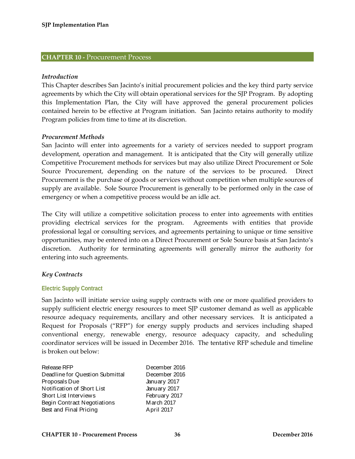## <span id="page-36-0"></span>**CHAPTER 10 -** Procurement Process

#### <span id="page-36-1"></span>*Introduction*

This Chapter describes San Jacinto's initial procurement policies and the key third party service agreements by which the City will obtain operational services for the SJP Program. By adopting this Implementation Plan, the City will have approved the general procurement policies contained herein to be effective at Program initiation. San Jacinto retains authority to modify Program policies from time to time at its discretion.

#### <span id="page-36-2"></span>*Procurement Methods*

San Jacinto will enter into agreements for a variety of services needed to support program development, operation and management. It is anticipated that the City will generally utilize Competitive Procurement methods for services but may also utilize Direct Procurement or Sole Source Procurement, depending on the nature of the services to be procured. Direct Procurement is the purchase of goods or services without competition when multiple sources of supply are available. Sole Source Procurement is generally to be performed only in the case of emergency or when a competitive process would be an idle act.

The City will utilize a competitive solicitation process to enter into agreements with entities providing electrical services for the program. Agreements with entities that provide professional legal or consulting services, and agreements pertaining to unique or time sensitive opportunities, may be entered into on a Direct Procurement or Sole Source basis at San Jacinto's discretion. Authority for terminating agreements will generally mirror the authority for entering into such agreements.

#### <span id="page-36-3"></span>*Key Contracts*

#### <span id="page-36-4"></span>**Electric Supply Contract**

San Jacinto will initiate service using supply contracts with one or more qualified providers to supply sufficient electric energy resources to meet SJP customer demand as well as applicable resource adequacy requirements, ancillary and other necessary services. It is anticipated a Request for Proposals ("RFP") for energy supply products and services including shaped conventional energy, renewable energy, resource adequacy capacity, and scheduling coordinator services will be issued in December 2016. The tentative RFP schedule and timeline is broken out below:

| Release RFP                     | December 2016 |
|---------------------------------|---------------|
| Deadline for Question Submittal | December 2016 |
| Proposals Due                   | January 2017  |
| Notification of Short List      | January 2017  |
| Short List Interviews           | February 2017 |
| Begin Contract Negotiations     | March 2017    |
| Best and Final Pricing          | April 2017    |
|                                 |               |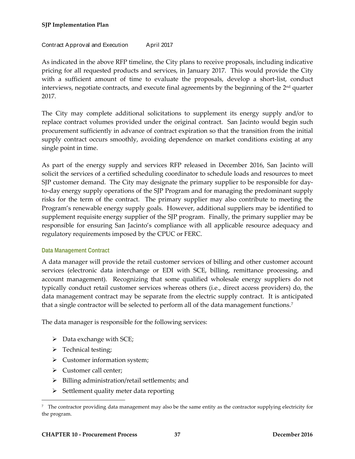#### **SJP Implementation Plan**

#### Contract Approval and Execution April 2017

As indicated in the above RFP timeline, the City plans to receive proposals, including indicative pricing for all requested products and services, in January 2017. This would provide the City with a sufficient amount of time to evaluate the proposals, develop a short-list, conduct interviews, negotiate contracts, and execute final agreements by the beginning of the  $2<sup>nd</sup>$  quarter 2017.

The City may complete additional solicitations to supplement its energy supply and/or to replace contract volumes provided under the original contract. San Jacinto would begin such procurement sufficiently in advance of contract expiration so that the transition from the initial supply contract occurs smoothly, avoiding dependence on market conditions existing at any single point in time.

As part of the energy supply and services RFP released in December 2016, San Jacinto will solicit the services of a certified scheduling coordinator to schedule loads and resources to meet SJP customer demand. The City may designate the primary supplier to be responsible for dayto-day energy supply operations of the SJP Program and for managing the predominant supply risks for the term of the contract. The primary supplier may also contribute to meeting the Program's renewable energy supply goals. However, additional suppliers may be identified to supplement requisite energy supplier of the SJP program. Finally, the primary supplier may be responsible for ensuring San Jacinto's compliance with all applicable resource adequacy and regulatory requirements imposed by the CPUC or FERC.

#### <span id="page-37-0"></span>**Data Management Contract**

A data manager will provide the retail customer services of billing and other customer account services (electronic data interchange or EDI with SCE, billing, remittance processing, and account management). Recognizing that some qualified wholesale energy suppliers do not typically conduct retail customer services whereas others (i.e., direct access providers) do, the data management contract may be separate from the electric supply contract. It is anticipated that a single contractor will be selected to perform all of the data management functions.<sup>7</sup>

The data manager is responsible for the following services:

- $\triangleright$  Data exchange with SCE;
- $\triangleright$  Technical testing;
- $\triangleright$  Customer information system;
- > Customer call center;
- $\triangleright$  Billing administration/retail settlements; and
- $\triangleright$  Settlement quality meter data reporting

<span id="page-37-1"></span> <sup>7</sup> The contractor providing data management may also be the same entity as the contractor supplying electricity for the program.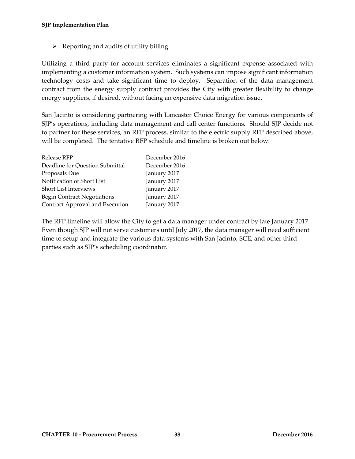$\triangleright$  Reporting and audits of utility billing.

Utilizing a third party for account services eliminates a significant expense associated with implementing a customer information system. Such systems can impose significant information technology costs and take significant time to deploy. Separation of the data management contract from the energy supply contract provides the City with greater flexibility to change energy suppliers, if desired, without facing an expensive data migration issue.

San Jacinto is considering partnering with Lancaster Choice Energy for various components of SJP's operations, including data management and call center functions. Should SJP decide not to partner for these services, an RFP process, similar to the electric supply RFP described above, will be completed. The tentative RFP schedule and timeline is broken out below:

| Release RFP                        | December 2016 |
|------------------------------------|---------------|
| Deadline for Question Submittal    | December 2016 |
| Proposals Due                      | January 2017  |
| Notification of Short List         | January 2017  |
| Short List Interviews              | January 2017  |
| <b>Begin Contract Negotiations</b> | January 2017  |
| Contract Approval and Execution    | January 2017  |
|                                    |               |

The RFP timeline will allow the City to get a data manager under contract by late January 2017. Even though SJP will not serve customers until July 2017, the data manager will need sufficient time to setup and integrate the various data systems with San Jacinto, SCE, and other third parties such as SJP's scheduling coordinator.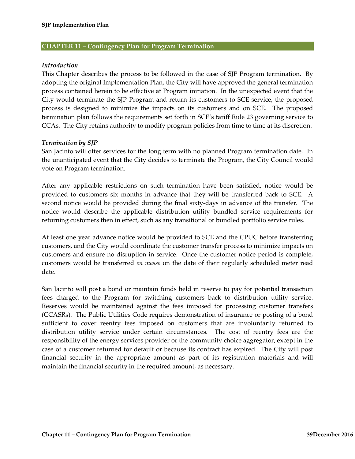#### <span id="page-39-0"></span>**CHAPTER 11 – Contingency Plan for Program Termination**

#### <span id="page-39-1"></span>*Introduction*

This Chapter describes the process to be followed in the case of SJP Program termination. By adopting the original Implementation Plan, the City will have approved the general termination process contained herein to be effective at Program initiation. In the unexpected event that the City would terminate the SJP Program and return its customers to SCE service, the proposed process is designed to minimize the impacts on its customers and on SCE. The proposed termination plan follows the requirements set forth in SCE's tariff Rule 23 governing service to CCAs. The City retains authority to modify program policies from time to time at its discretion.

#### <span id="page-39-2"></span>*Termination by SJP*

San Jacinto will offer services for the long term with no planned Program termination date. In the unanticipated event that the City decides to terminate the Program, the City Council would vote on Program termination.

After any applicable restrictions on such termination have been satisfied, notice would be provided to customers six months in advance that they will be transferred back to SCE. A second notice would be provided during the final sixty-days in advance of the transfer. The notice would describe the applicable distribution utility bundled service requirements for returning customers then in effect, such as any transitional or bundled portfolio service rules.

At least one year advance notice would be provided to SCE and the CPUC before transferring customers, and the City would coordinate the customer transfer process to minimize impacts on customers and ensure no disruption in service. Once the customer notice period is complete, customers would be transferred *en masse* on the date of their regularly scheduled meter read date.

San Jacinto will post a bond or maintain funds held in reserve to pay for potential transaction fees charged to the Program for switching customers back to distribution utility service. Reserves would be maintained against the fees imposed for processing customer transfers (CCASRs). The Public Utilities Code requires demonstration of insurance or posting of a bond sufficient to cover reentry fees imposed on customers that are involuntarily returned to distribution utility service under certain circumstances. The cost of reentry fees are the responsibility of the energy services provider or the community choice aggregator, except in the case of a customer returned for default or because its contract has expired. The City will post financial security in the appropriate amount as part of its registration materials and will maintain the financial security in the required amount, as necessary.